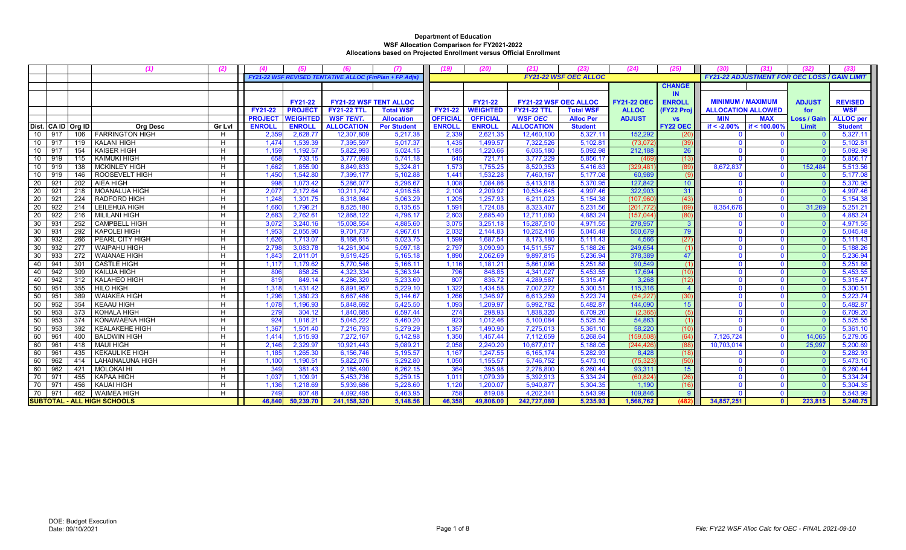|                       |                  | (1)                                | (2)    | (4)            | (5)             | (6)                                                   | (7)                | (19)            | (20)            | (21)                         | (23)                         | (24)               | (25)            | (30)                                                | (31)           | (32)           | (33              |
|-----------------------|------------------|------------------------------------|--------|----------------|-----------------|-------------------------------------------------------|--------------------|-----------------|-----------------|------------------------------|------------------------------|--------------------|-----------------|-----------------------------------------------------|----------------|----------------|------------------|
|                       |                  |                                    |        |                |                 | FY21-22 WSF REVISED TENTATIVE ALLOC (FinPlan + FP Ad) |                    |                 |                 |                              | <b>FY21-22 WSF OEC ALLOC</b> |                    |                 | <b>FY21-22 ADJUSTMENT FOR OEC LOSS / GAIN LIMIT</b> |                |                |                  |
|                       |                  |                                    |        |                |                 |                                                       |                    |                 |                 |                              |                              |                    | <b>CHANGE</b>   |                                                     |                |                |                  |
|                       |                  |                                    |        |                |                 |                                                       |                    |                 |                 |                              |                              |                    | <b>IN</b>       |                                                     |                |                |                  |
|                       |                  |                                    |        |                | <b>FY21-22</b>  | <b>FY21-22 WSF TENT ALLOC</b>                         |                    |                 | <b>FY21-22</b>  | <b>FY21-22 WSF OEC ALLOC</b> |                              | <b>FY21-22 OEC</b> | <b>ENROLL</b>   | <b>MINIMUM / MAXIMUM</b>                            |                | <b>ADJUST</b>  | <b>REVISED</b>   |
|                       |                  |                                    |        | <b>FY21-22</b> | <b>PROJECT</b>  | <b>FY21-22 TTL</b>                                    | <b>Total WSF</b>   | <b>FY21-22</b>  | <b>WEIGHTED</b> | <b>FY21-22 TTL</b>           | <b>Total WSF</b>             | <b>ALLOC</b>       | (FY22 Proj      | <b>ALLOCATION ALLOWED</b>                           |                | for            | <b>WSF</b>       |
|                       |                  |                                    |        | <b>PROJECT</b> | <b>WEIGHTED</b> | <b>WSF TENT.</b>                                      | <b>Allocation</b>  | <b>OFFICIAL</b> | <b>OFFICIAL</b> | <b>WSF OEC</b>               | <b>Alloc Per</b>             | <b>ADJUST</b>      | <b>VS</b>       | <b>MIN</b>                                          | <b>MAX</b>     | Loss / Gain    | <b>ALLOC</b> per |
| Dist. CA ID Org ID    |                  | <b>Org Desc</b>                    | Gr Lvl | <b>ENROLL</b>  | <b>ENROLL</b>   | <b>ALLOCATION</b>                                     | <b>Per Student</b> | <b>ENROLL</b>   | <b>ENROLL</b>   | <b>ALLOCATION</b>            | <b>Student</b>               |                    | <b>FY22 OEC</b> | if $< -2.00\%$                                      | if < 100.00%   | Limit          | <b>Student</b>   |
| 10<br>917             | 106              | <b>FARRINGTON HIGH</b>             | H      | 2,35           | 2,628.77        | 12,307,809                                            | 5,217.38           | 2,33            | 2,621.35        | 12,460,100                   | 5,327.1                      | 152.292            | (20             |                                                     | $\Omega$       |                | 5,327.1          |
| 917<br>10             | 119              | <b>KALANI HIGH</b>                 | H      | 1,474          | 1,539.39        | 7,395,597                                             | 5,017.37           | 1,435           | 1,499.57        | 7,322,526                    | 5,102.81                     | (73,072)           | (39)            | - 0                                                 | $\mathbf{0}$   |                | 5,102.81         |
| 917<br>10             | 154              | <b>KAISER HIGH</b>                 | H      | 1,159          | 1.192.57        | 5,822,993                                             | 5.024.15           | 1,185           | 1.220.66        | 6,035,180                    | 5.092.98                     | 212.188            | 26              |                                                     | $\Omega$       |                | 5,092.98         |
| 919<br>10             | 115              | <b>KAIMUKI HIGH</b>                | H      | 658            | 733.15          | 3,777,698                                             | 5.741.18           | 645             | 721.71          | 3,777,229                    | 5,856.17                     | (469               | (13)            |                                                     | $\mathbf{0}$   |                | 5,856.17         |
| 919<br>10             | 138              | <b>MCKINLEY HIGH</b>               | H.     | 1.662          | 1,855.90        | 8,849,833                                             | 5,324.8            | 1,573           | 1,755.25        | 8,520,353                    | 5,416.63                     | (329, 481)         | (89)            | 8,672,837                                           | $\mathbf{0}$   | 152.484        | 5,513.56         |
| 919<br>10             | 146              | <b>ROOSEVELT HIGH</b>              | H      | 1.450          | 1,542.80        | 7,399,177                                             | 5.102.88           | 1,441           | 1,532.28        | 7,460,167                    | 5.177.08                     | 60,989             | (9)             |                                                     | $\mathbf{0}$   | - ೧            | 5,177.08         |
| 92'<br>20             | 202              | AIEA HIGH                          | H      | 998            | 1,073.42        | 5,286,077                                             | 5,296.67           | 1,008           | 1,084.86        | 5,413,918                    | 5,370.95                     | 127,842            | 10 <sup>°</sup> | $\Omega$                                            | $\mathbf{0}$   | - 0            | 5,370.95         |
| 20<br>921             | 218              | <b>MOANALUA HIGH</b>               | H      | 2,07           | 2,172.64        | 10,211,742                                            | 4,916.58           | 2,108           | 2,209.92        | 10,534,645                   | 4,997.46                     | 322,903            | 31              |                                                     | $\mathbf{0}$   |                | 4,997.46         |
| 921<br>20             | 224              | RADFORD HIGH                       | H      | 1,248          | 1,301.75        | 6,318,984                                             | 5,063.29           | 1,205           | 1,257.93        | 6,211,023                    | 5,154.38                     | (107, 960)         | (43)            |                                                     | $\mathbf{0}$   |                | 5,154.38         |
| 922<br>20             | 214              | <b>LEILEHUA HIGH</b>               | H      | 1,660          | 1,796.21        | 8,525,180                                             | 5,135.65           | 1,591           | 1,724.08        | 8,323,407                    | 5,231.56                     | (201, 772)         | (69)            | 8,354,676                                           | $\mathbf{0}$   | 31,269         | 5,251.21         |
| 922<br>20             | 216              | <b>MILILANI HIGH</b>               | H      | 2,683          | 2,762.61        | 12,868,122                                            | 4,796.17           | 2,603           | 2,685.40        | 12,711,080                   | 4,883.24                     | (157, 044)         | (80)            |                                                     | $\mathbf{0}$   |                | 4,883.24         |
| 30<br>93 <sup>2</sup> | 252              | <b>CAMPBELL HIGH</b>               | H      | 3,072          | 3,240.16        | 15,008,554                                            | 4,885.60           | 3,075           | 3,251.18        | 15,287,510                   | 4,971.55                     | 278,957            | 3               |                                                     | $\mathbf{0}$   |                | 4,971.55         |
| 931<br>30             | 292              | <b>KAPOLEI HIGH</b>                | H      | 1,953          | 2,055.90        | 9,701,737                                             | 4,967.61           | 2,032           | 2,144.83        | 10,252,416                   | 5.045.48                     | 550,679            | 79              |                                                     | $\Omega$       |                | 5,045.48         |
| 932<br>30             | 266              | PEARL CITY HIGH                    | Н      | 1,626          | 1,713.07        | 8,168,615                                             | 5,023.75           | 1,599           | 1,687.54        | 8,173,180                    | 5,111.43                     | 4,566              | (27)            |                                                     | $\Omega$       |                | 5,111.43         |
| 932<br>30             | 277              | <b>WAIPAHU HIGH</b>                | H      | 2.79           | 3.083.78        | 14,261,904                                            | 5.097.18           | 2,797           | 3.090.90        | 14,511,557                   | 5.188.26                     | 249,654            | (1)             |                                                     | $\mathbf{0}$   |                | 5,188.26         |
| 933<br>30             | 272              | <b>WAIANAE HIGH</b>                | H      | 1,843          | 2,011.01        | 9,519,425                                             | 5,165.18           | 1,890           | 2,062.69        | 9,897,815                    | 5,236.94                     | 378,389            | 47              |                                                     | $\mathbf{0}$   | - 0            | 5,236.94         |
| 94 <sup>′</sup><br>40 | 301              | <b>CASTLE HIGH</b>                 | H      | 1,11           | 1.179.62        | 5,770,546                                             | 5.166.11           | 1,116           | 1,181.21        | 5.861.096                    | 5.251.88                     | 90,549             | (1)             |                                                     | $\Omega$       |                | 5,251.88         |
| 942<br>40             | 309              | <b>KAILUA HIGH</b>                 | H      | 806            | 858.25          | 4.323.334                                             | 5,363.94           | 796             | 848.85          | 4,341,027                    | 5.453.55                     | 17,694             | (10)            |                                                     | $\Omega$       |                | 5,453.55         |
| 942<br>40             | 312              | <b>KALAHEO HIGH</b>                | H      | 819            | 849.14          | 4,286,320                                             | 5,233.60           | 807             | 836.72          | 4,289,587                    | 5,315.47                     | 3,268              | (12             |                                                     | $\mathbf{0}$   | $\Omega$       | 5,315.47         |
| 50<br>951             | 355              | <b>HILO HIGH</b>                   | H      | 1,318          | 1.431.42        | 6,891,957                                             | 5.229.10           | 1,322           | 1.434.58        | 7,007,272                    | 5.300.5 <sup>2</sup>         | 115,316            |                 | $\Omega$                                            | $\mathbf{0}$   | $\overline{0}$ | 5,300.51         |
| 50<br>951             | 389              | <b>WAIAKEA HIGH</b>                | H      | 1,296          | 1,380.23        | 6,667,486                                             | 5,144.67           | 1,266           | 1,346.97        | 6,613,259                    | 5,223.74                     | (54, 227)          | (30)            |                                                     | $\Omega$       |                | 5,223.74         |
| 50<br>952             | 354              | <b>KEAAU HIGH</b>                  | H.     | 1,078          | 1,196.93        | 5,848,692                                             | 5,425.50           | 1,093           | 1,209.97        | 5,992,782                    | 5,482.87                     | 144,090            | 15              | $\Omega$                                            | $\mathbf{0}$   |                | 5,482.87         |
| 50<br>953             | $\overline{373}$ | KOHALA HIGH                        | H      | 279            | 304.12          | 1,840,685                                             | 6,597.44           | 274             | 298.93          | 1,838,320                    | 6.709.20                     | (2.365)            | (5)             |                                                     | $\overline{0}$ | $\Omega$       | 6,709.20         |
| 50<br>953             | 374              | KONAWAENA HIGH                     | H      | 924            | 1,016.21        | 5,045,222                                             | 5,460.20           | 923             | 1,012.46        | 5,100,084                    | 5,525.55                     | 54,863             | (1)             |                                                     | $\mathbf{0}$   | - റ            | 5,525.55         |
| 50<br>953             | 392              | <b>KEALAKEHE HIGH</b>              | H      | 1,367          | 1,501.40        | 7,216,793                                             | 5,279.29           | 1,357           | 1,490.90        | 7,275,013                    | 5,361.10                     | 58,220             | (10)            |                                                     | $\overline{0}$ |                | 5,361.10         |
| 60<br>961             | 400              | <b>BALDWIN HIGH</b>                | Н      | 1.414          | 1.515.93        | 7.272.167                                             | 5.142.98           | 1,350           | 1,457.44        | 7.112.659                    | 5.268.64                     | (159, 508)         | (64)            | 7.126.724                                           | $\mathbf{0}$   | 14.065         | 5,279.05         |
| 60<br>961             | 418              | <b>MAUI HIGH</b>                   | H      | 2,140          | 2.329.97        | 10,921,443                                            | 5,089.2            | 2,058           | 2,240.20        | 10,677,017                   | 5.188.05                     | (244, 426)         | (88)            | 10,703,014                                          | $\Omega$       | 25,997         | 5,200.6          |
| 60<br>96 <sup>2</sup> | 435              | <b>KEKAULIKE HIGH</b>              | H      | 1,185          | 1,265.30        | 6,156,746                                             | 5,195.57           | 1,167           | 1,247.55        | 6,165,174                    | 5,282.93                     | 8,428              | (18)            |                                                     | $\Omega$       | - വ            | 5,282.93         |
| 962<br>60             | 414              | <b>LAHAINALUNA HIGH</b>            | H      | 1,100          | 1,190.51        | 5.822.076                                             | 5.292.80           | 1,050           | 1,155.57        | 5,746,752                    | 5.473.10                     | (75, 323)          | (50)            | $\Omega$                                            | $\mathbf{0}$   |                | 5,473.10         |
| 60<br>962             | 421              | <b>MOLOKAI HI</b>                  | H      | 349            | 381.43          | 2,185,490                                             | 6,262.15           | 364             | 395.98          | 2,278,800                    | 6,260.44                     | 93,311             | 15              |                                                     | $\Omega$       |                | 6,260.44         |
| 971<br>70             | 455              | <b>KAPAA HIGH</b>                  | H      | 1,037          | 1,109.91        | 5,453,736                                             | 5,259.15           | 1,011           | 1,079.39        | 5,392,913                    | 5,334.24                     | (60, 824)          | (26)            |                                                     | $\mathbf{0}$   |                | 5,334.24         |
| 97'<br>70             | 456              | <b>KAUAI HIGH</b>                  | H      | 1,136          | 1,218.69        | 5,939,686                                             | 5,228.60           | 1,120           | 1,200.07        | 5,940,877                    | 5,304.35                     | 1,190              | (16)            |                                                     | $\mathbf{0}$   |                | 5,304.35         |
| 971<br>70             | 462              | <b>WAIMEA HIGH</b>                 | H      | 749            | 807.48          | 4,092,495                                             | 5,463.95           | 758             | 819.08          | 4,202,341                    | 5,543.99                     | 109,846            | $\mathbf{Q}$    |                                                     | $\mathbf{0}$   |                | 5,543.99         |
|                       |                  | <b>SUBTOTAL - ALL HIGH SCHOOLS</b> |        | 46,840         | 50,239.70       | 241, 158, 320                                         | 5,148.56           | 46,358          | 49,806.00       | 242,727,080                  | 5,235.93                     | 1,568,762          | (482)           | 34,857,251                                          | $\bullet$      | 223,815        | 5,240.75         |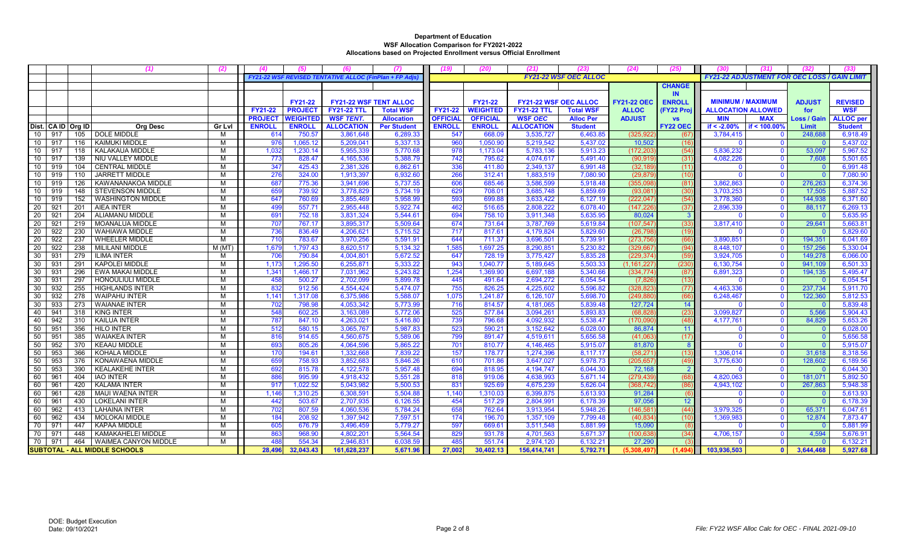|     |                                      |                    | (1)                         | (2)           |                |                 |                                                       | (7)                |                 | (20)            | (21)                         | (23)                         | (24)               | (25)            | (30)                      | (31)                                                |               |                  |
|-----|--------------------------------------|--------------------|-----------------------------|---------------|----------------|-----------------|-------------------------------------------------------|--------------------|-----------------|-----------------|------------------------------|------------------------------|--------------------|-----------------|---------------------------|-----------------------------------------------------|---------------|------------------|
|     |                                      |                    |                             |               |                |                 | FY21-22 WSF REVISED TENTATIVE ALLOC (FinPlan + FP Adj |                    |                 |                 |                              | <b>FY21-22 WSF OEC ALLOC</b> |                    |                 |                           | <b>FY21-22 ADJUSTMENT FOR OEC LOSS / GAIN LIMIT</b> |               |                  |
|     |                                      |                    |                             |               |                |                 |                                                       |                    |                 |                 |                              |                              |                    | <b>CHANGE</b>   |                           |                                                     |               |                  |
|     |                                      |                    |                             |               |                |                 |                                                       |                    |                 |                 |                              |                              |                    | <b>IN</b>       |                           |                                                     |               |                  |
|     |                                      |                    |                             |               |                | <b>FY21-22</b>  | <b>FY21-22 WSF TENT ALLOC</b>                         |                    |                 | <b>FY21-22</b>  | <b>FY21-22 WSF OEC ALLOC</b> |                              | <b>FY21-22 OEC</b> | <b>ENROLL</b>   | <b>MINIMUM / MAXIMUM</b>  |                                                     | <b>ADJUST</b> | <b>REVISED</b>   |
|     |                                      |                    |                             |               | <b>FY21-22</b> | <b>PROJECT</b>  | <b>FY21-22 TTL</b>                                    | <b>Total WSF</b>   | <b>FY21-22</b>  | <b>WEIGHTED</b> | <b>FY21-22 TTL</b>           | <b>Total WSF</b>             | <b>ALLOC</b>       | (FY22 Proj      | <b>ALLOCATION ALLOWED</b> |                                                     | for           | <b>WSF</b>       |
|     |                                      |                    |                             |               | <b>PROJECT</b> | <b>WEIGHTED</b> | <b>WSF TENT.</b>                                      | <b>Allocation</b>  | <b>OFFICIAL</b> | <b>OFFICIAL</b> | <b>WSF OEC</b>               | <b>Alloc Per</b>             | <b>ADJUST</b>      | <b>VS</b>       | <b>MIN</b>                | <b>MAX</b>                                          | Loss / Gain   | <b>ALLOC</b> per |
|     |                                      | Dist. CA ID Org ID | <b>Org Desc</b>             | <b>Gr Lvl</b> | <b>ENROLL</b>  | <b>ENROLL</b>   | <b>ALLOCATION</b>                                     | <b>Per Student</b> | <b>ENROLL</b>   | <b>ENROLL</b>   | <b>ALLOCATION</b>            | <b>Student</b>               |                    | <b>FY22 OEC</b> | if $< -2.00%$             | if < $100.00\%$                                     | <b>Limit</b>  | <b>Student</b>   |
| 10  | 917                                  | 105                | DOLE MIDDLE                 | M             | 61             | 750.57          | 3,861,648                                             | 6,289.3            | 547             | 668.09          | 3,535,727                    | 6,463.85                     | (325.92)           | (67)            | 3,784,415                 | $\Omega$                                            | 248,688       | 6,918.49         |
| 10  | 917                                  | 116                | <b>KAIMUKI MIDDLE</b>       | M             | 976            | 1,065.12        | 5,209,041                                             | 5,337.13           | 960             | 1,050.90        | 5,219,542                    | 5,437.02                     | 10,502             | (16)            |                           | $\mathbf{0}$                                        |               | 5,437.02         |
| 10  | 917                                  | 118                | KALAKAUA MIDDLE             | M             | 1,032          | 1,230.14        | 5,955,339                                             | 5,770.68           | 978             | 1,173.04        | 5,783,136                    | 5,913.23                     | (172, 203)         | (54)            | 5,836,232                 | $\mathbf{0}$                                        | 53,097        | 5,967.52         |
| 10  | 917                                  | 139                | NIU VALLEY MIDDLE           | M             | 773            | 828.47          | 4,165,536                                             | 5,388.79           | 742             | 795.62          | 4,074,617                    | 5,491.40                     | (90, 919)          | (31)            | 4,082,226                 | $\mathbf{0}$                                        | 7,608         | 5,501.65         |
| 10  | 919                                  | 104                | <b>CENTRAL MIDDLE</b>       | м             | 347            | 425.43          | 2.381.326                                             | 6.862.6            | 336             | 411.80          | 2,349,137                    | 6.991.48                     | (32, 189)          | (11)            |                           | $\Omega$                                            |               | 6.991.48         |
| 10  | 919                                  | 110                | <b>JARRETT MIDDLE</b>       | M             | 276            | 324.00          | 1,913,397                                             | 6,932.60           | 266             | 312.41          | 1,883,519                    | 7.080.90                     | (29, 879)          | (10)            | $\Omega$                  | $\Omega$                                            | - റ           | 7,080.90         |
| 10  | 919                                  | 126                | KAWANANAKOA MIDDLE          | M             | 687            | 775.36          | 3.941.696                                             | 5.737.55           | 606             | 685.46          | 3.586.599                    | 5.918.48                     | (355.098           | (81)            | 3.862.863                 | $\mathbf{0}$                                        | 276.263       | 6.374.36         |
| 10  | 919                                  | 148                | <b>STEVENSON MIDDLE</b>     | M             | 659            | 739.92          | 3,778,829                                             | 5,734.19           | 629             | 708.01          | 3,685,748                    | 5,859.69                     | (93,081)           | (30)            | 3,703,253                 | $\mathbf 0$                                         | 17,505        | 5,887.52         |
| 10  | 919                                  | 152                | <b>WASHINGTON MIDDLE</b>    | M             | 647            | 760.69          | 3,855,469                                             | 5,958.99           | 593             | 699.88          | 3,633,422                    | 6.127.19                     | (222, 047)         | (54)            | 3,778,360                 | $\mathbf{0}$                                        | 144,938       | 6,371.60         |
| 20  | 921                                  | 201                | <b>AIEA INTER</b>           | M             | 499            | 557.71          | 2,955,448                                             | 5,922.74           | 462             | 516.65          | 2,808,222                    | 6.078.40                     | (147.226           | (37)            | 2,896,339                 | $\mathbf{0}$                                        | 88.117        | 6,269.13         |
| 20  | 921                                  | 204                | ALIAMANU MIDDLE             | м             | 691            | 752.18          | 3,831,324                                             | 5,544.6            | 694             | 758.10          | 3,911,348                    | 5.635.95                     | 80,024             | $\overline{3}$  |                           | $\Omega$                                            |               | 5,635.95         |
| 20  | 921                                  | 219                | <b>MOANALUA MIDDLE</b>      | M             | 707            | 767.17          | 3,895,317                                             | 5,509.64           | 674             | 731.64          | 3,787,769                    | 5.619.84                     | (107, 547)         | (33)            | 3,817,410                 | $\Omega$                                            | 29,641        | 5,663.8          |
| -20 | 922                                  | 230                | <b>WAHIAWA MIDDLE</b>       | M             | 736            | 836.49          | 4,206,621                                             | 5,715.52           | 717             | 817.61          | 4,179,824                    | 5,829.60                     | (26, 798)          | (19)            |                           | $\Omega$                                            |               | 5,829.60         |
| 20  | 922                                  | 237                | <b>WHEELER MIDDLE</b>       | M             | 710            | 783.67          | 3,970,256                                             | 5,591.9            | 644             | 711.37          | 3,696,501                    | 5,739.91                     | (273, 756)         | (66)            | 3,890,851                 | $\Omega$                                            | 194,351       | 6,041.69         |
| 20  | 922                                  | 238                | MILILANI MIDDLE             | $M$ (MT)      | 1,67           | 1,797.43        | 8,620,517                                             | 5,134.32           | 1,585           | 1,697.25        | 8,290,851                    | 5,230.82                     | (329, 66)          | (94)            | 8,448,107                 | $\mathbf{0}$                                        | 157,256       | 5,330.04         |
| 30  | 931                                  | 279                | <b>ILIMA INTER</b>          | M             | 706            | 790.84          | 4.004.801                                             | 5.672.52           | 647             | 728.19          | 3,775,427                    | 5.835.28                     | (229.374           | (59             | 3.924.705                 | $\Omega$                                            | 149,278       | 6,066.00         |
| 30  | 931                                  | 291                | <b>KAPOLEI MIDDLE</b>       | M             | 1.173          | 1,295.50        | 6,255,871                                             | 5,333.22           | 943             | 1,040.77        | 5,189,645                    | 5,503.33                     | (1,161,227         | (230)           | 6,130,754                 | $\mathbf{0}$                                        | 941,109       | 6,501.33         |
| 30  | 931                                  | 296                | EWA MAKAI MIDDLE            | M             | 1,34           | 1,466.17        | 7,031,962                                             | 5,243.82           | 1,254           | 1,369.90        | 6,697,188                    | 5,340.66                     | (334, 774)         | (87)            | 6,891,323                 | $\mathbf{0}$                                        | 194,135       | 5,495.47         |
| 30  | 931                                  | 297                | <b>HONOULIULI MIDDLE</b>    | M             | 458            | 500.27          | 2,702,099                                             | 5,899.78           | 445             | 491.64          | 2,694,272                    | 6,054.54                     | (7, 826)           | (13)            |                           | $\mathbf{0}$                                        | - C           | 6,054.54         |
| 30  | 932                                  | 255                | <b>HIGHLANDS INTER</b>      | M             | 832            | 912.56          | 4,554,424                                             | 5.474.07           | 755             | 826.25          | 4,225,602                    | 5.596.82                     | (328.82)           | (77)            | 4,463,336                 | $\mathbf{0}$                                        | 237,734       | 5,911.70         |
| 30  | 932                                  | 278                | <b>WAIPAHU INTER</b>        | M             | 1,14           | 1,317.08        | 6,375,986                                             | 5,588.0            | 1,075           | 1,241.87        | 6,126,107                    | 5,698.70                     | (249, 88)          | (66)            | 6,248,467                 | $\Omega$                                            | 122,360       | 5,812.53         |
| 30  | 933                                  | 273                | <b>WAIANAE INTER</b>        | M             | 702            | 798.98          | 4,053,342                                             | 5,773.99           | 716             | 814.57          | 4,181,065                    | 5,839.48                     | 127,724            | 14              |                           | $\mathbf{0}$                                        |               | 5,839.48         |
| 40  | 941                                  | 318                | <b>KING INTER</b>           | M             | 548            | 602.25          | 3,163,089                                             | 5,772.0            | 525             | 577.84          | 3,094,261                    | 5,893.83                     | (68, 82)           | (23)            | 3,099,827                 | $\mathbf{0}$                                        | 5,566         | 5,904.43         |
| 40  | 942                                  | 310                | <b>KAILUA INTER</b>         | M             | 787            | 847.10          | 4,263,021                                             | 5,416.80           | 739             | 796.68          | 4,092,932                    | 5,538.47                     | (170,090)          | (48)            | 4,177,761                 | $\mathbf{0}$                                        | 84,829        | 5,653.26         |
| 50  | 951                                  | 356                | <b>HILO INTER</b>           | M             | 512            | 580.15          | 3.065.767                                             | 5,987.8            | 523             | 590.21          | 3,152,642                    | 6.028.00                     | 86,874             | 11              |                           | $\Omega$                                            |               | 6,028.00         |
| 50  | 951                                  | 385                | <b>WAIAKEA INTER</b>        | M             | 816            | 914.65          | 4,560,675                                             | 5,589.0            | 799             | 891.47          | 4,519,611                    | 5,656.58                     | (41,063)           | (17)            | $\Omega$                  | $\mathbf{0}$                                        | - 0           | 5,656.58         |
| 50  | 952                                  | 370                | <b>KEAAU MIDDLE</b>         | M             | 693            | 805.26          | 4,064,596                                             | 5,865.22           | 701             | 810.77          | 4,146,465                    | 5.915.07                     | 81,870             | 8               |                           | $\mathbf{0}$                                        |               | 5,915.07         |
| 50  | 953                                  | 366                | <b>KOHALA MIDDLE</b>        | M             | 170            | 194.61          | 1,332,668                                             | 7.839.22           | 157             | 178.77          | 1,274,396                    | 8.117.17                     | (58, 271)          | (13)            | 1.306.014                 | $\mathbf{0}$                                        | 31,618        | 8,318.56         |
| 50  | 953                                  | 376                | KONAWAENA MIDDLE            | M             | 659            | 758.93          | 3,852,683                                             | 5,846.26           | 610             | 701.86          | 3,647,027                    | 5,978.73                     | (205, 657)         | (49)            | 3,775,630                 | $\mathbf{0}$                                        | 128,602       | 6,189.56         |
| 50  | 953                                  | 390                | <b>KEALAKEHE INTER</b>      | M             | 692            | 815.78          | 4,122,578                                             | 5,957.48           | 694             | 818.95          | 4,194,747                    | 6.044.30                     | 72,168             | $\overline{2}$  |                           | $\mathbf{0}$                                        |               | 6,044.30         |
| 60  | 961                                  | 404                | <b>IAO INTER</b>            | м             | 886            | 995.99          | 4,918,432                                             | 5,551.28           | 818             | 919.06          | 4,638,993                    | 5,671.14                     | (279, 439)         | (68)            | 4,820,063                 | $\mathbf{0}$                                        | 181,071       | 5,892.50         |
| 60  | 961                                  | 420                | <b>KALAMA INTER</b>         | М             | 91             | 1,022.52        | 5,043,982                                             | 5,500.53           | 831             | 925.69          | 4,675,239                    | 5,626.04                     | (368, 742)         | (86)            | 4,943,102                 | $\Omega$                                            | 267,863       | 5,948.38         |
| 60  | 961                                  | 428                | <b>MAUI WAENA INTER</b>     | M             | 1,146          | 1,310.25        | 6,308,591                                             | 5,504.88           | 1,140           | 1,310.03        | 6,399,875                    | 5,613.93                     | 91,284             | - (6            |                           | $\mathbf{0}$                                        | - 0           | 5,613.93         |
| 60  | 96 <sup>°</sup>                      | 430                | <b>LOKELANI INTER</b>       | М             | 442            | 503.67          | 2,707,935                                             | 6,126.55           | 454             | 517.29          | 2,804,991                    | 6,178.39                     | 97,056             | 12              |                           | $\mathbf{0}$                                        |               | 6,178.39         |
| 60  | 962                                  | 413                | <b>LAHAINA INTER</b>        | M             | 702            | 807.59          | 4,060,536                                             | 5,784.24           | 658             | 762.64          | 3,913,954                    | 5,948.26                     | (146.58)           | (44)            | 3,979,325                 | $\mathbf{0}$                                        | 65,371        | 6,047.61         |
| 60  | 962                                  | 434                | <b>MOLOKAI MIDDLE</b>       | М             | 184            | 208.92          | 1,397,942                                             | 7,597.5            | 174             | 196.70          | 1,357,109                    | 7,799.48                     | (40, 834)          | (10)            | 1,369,983                 | $\Omega$                                            | 12,874        | 7,873.47         |
| 70  | 971                                  | 447                | <b>KAPAA MIDDLE</b>         | M             | 605            | 676.79          | 3,496,459                                             | 5,779.27           | 597             | 669.61          | 3,511,548                    | 5.881.99                     | 15,090             | - (8            |                           | $\Omega$                                            |               | 5,881.99         |
| 70  | 971                                  | 448                | KAMAKAHELEI MIDDLE          | м             | 863            | 968.90          | 4.802.201                                             | 5.564.54           | 829             | 931.78          | 4,701,563                    | 5.671.37                     | (100.638)          | (34)            | 4,706,157                 | $\Omega$                                            | 4,594         | 5,676.91         |
| 70  | 971                                  | 464                | <b>WAIMEA CANYON MIDDLE</b> | M             | 488            | 554.34          | 2,946,831                                             | 6,038.59           | 485             | 551.74          | 2,974,120                    | 6,132.21                     | 27,290             |                 |                           | $\overline{0}$                                      |               | 6,132.21         |
|     | <b>SUBTOTAL - ALL MIDDLE SCHOOLS</b> |                    |                             |               | 28,496         | 32.043.43       | 161,628,237                                           | 5,671.96           | 27,002          | 30,402.13       | 156,414,741                  | 5,792.71                     | (5.308.49)         | (1, 494)        | 103,936,503               | $\mathbf{0}$                                        | 3,644,468     | 5.927.68         |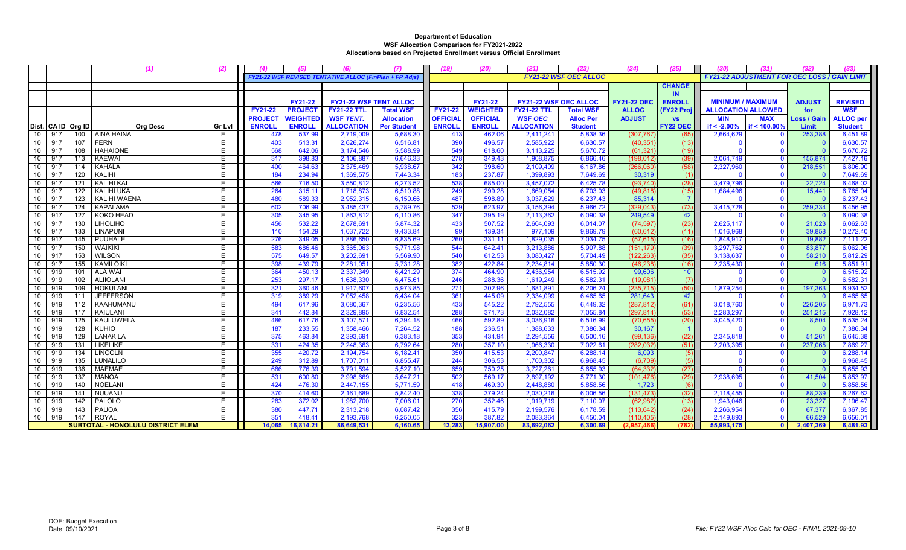|    |     |                    |                                          | (2)    |                |                 |                                                       | (7)                | (19)            | (20)            | (21)                         | (23)                         | (24)               | (25)            | (30)                                                | (31)                    | (32)               |                  |
|----|-----|--------------------|------------------------------------------|--------|----------------|-----------------|-------------------------------------------------------|--------------------|-----------------|-----------------|------------------------------|------------------------------|--------------------|-----------------|-----------------------------------------------------|-------------------------|--------------------|------------------|
|    |     |                    |                                          |        |                |                 | FY21-22 WSF REVISED TENTATIVE ALLOC (FinPlan + FP Adj |                    |                 |                 |                              | <b>FY21-22 WSF OEC ALLOC</b> |                    |                 | <b>FY21-22 ADJUSTMENT FOR OEC LOSS / GAIN LIMIT</b> |                         |                    |                  |
|    |     |                    |                                          |        |                |                 |                                                       |                    |                 |                 |                              |                              |                    | <b>CHANGE</b>   |                                                     |                         |                    |                  |
|    |     |                    |                                          |        |                |                 |                                                       |                    |                 |                 |                              |                              |                    | IN.             |                                                     |                         |                    |                  |
|    |     |                    |                                          |        |                | <b>FY21-22</b>  | <b>FY21-22 WSF TENT ALLOC</b>                         |                    |                 | <b>FY21-22</b>  | <b>FY21-22 WSF OEC ALLOC</b> |                              | <b>FY21-22 OEC</b> | <b>ENROLL</b>   | <b>MINIMUM / MAXIMUM</b>                            |                         | <b>ADJUST</b>      | <b>REVISED</b>   |
|    |     |                    |                                          |        | <b>FY21-22</b> | <b>PROJEC</b>   | <b>FY21-22 TTL</b>                                    | <b>Total WSF</b>   | <b>FY21-22</b>  | <b>WEIGHTED</b> | <b>FY21-22 TTL</b>           | <b>Total WSF</b>             | <b>ALLOC</b>       | (FY22 Proj      | <b>ALLOCATION ALLOWED</b>                           |                         | for                | <b>WSF</b>       |
|    |     |                    |                                          |        | <b>PROJECT</b> | <b>WEIGHTED</b> | <b>WSF TENT.</b>                                      | <b>Allocation</b>  | <b>OFFICIAL</b> | <b>OFFICIAL</b> | <b>WSF OEC</b>               | <b>Alloc Per</b>             | <b>ADJUST</b>      | <b>VS</b>       | <b>MIN</b>                                          | <b>MAX</b>              | <b>Loss / Gain</b> | <b>ALLOC</b> per |
|    |     | Dist. CA ID Org ID | <b>Org Desc</b>                          | Gr Lvl | <b>ENROLL</b>  | <b>ENROLL</b>   | <b>ALLOCATION</b>                                     | <b>Per Student</b> | <b>ENROLL</b>   | <b>ENROLL</b>   | <b>ALLOCATION</b>            | <b>Student</b>               |                    | <b>FY22 OEC</b> | if $< -2.00%$                                       | if < 100.00%            | Limit              | <b>Student</b>   |
| 10 | 917 | 100                | <b>AINA HAINA</b>                        | E.     | 478            | 537.99          | 2,719,009                                             | 5,688.3            | 413             | 462.06          | 2,411,241                    | 5,838.36                     | (307, 767)         | (65             | 2,664,629                                           | $\mathbf{0}$            | 253,388            | 6,451.8          |
| 10 | 917 | 107                | <b>FERN</b>                              | E      | 403            | 513.31          | 2,626,274                                             | 6,516.8            | 390             | 496.57          | 2,585,922                    | 6,630.57                     | (40, 351)          | (13)            |                                                     | $\mathbf{0}$            |                    | 6,630.57         |
| 10 | 917 | 108                | <b>HAHAIONE</b>                          | E.     | 568            | 642.06          | 3,174,546                                             | 5,588.99           | 549             | 618.60          | 3,113,225                    | 5,670.72                     | (61, 321)          | (19)            | $\Omega$                                            | $\mathbf{0}$            |                    | 5,670.72         |
| 10 | 917 | 113                | <b>KAEWAI</b>                            | E      | 317            | 398.83          | 2,106,887                                             | 6,646.33           | 278             | 349.43          | 1,908,875                    | 6,866.46                     | (198, 012)         | (39)            | 2,064,749                                           | $\mathbf{0}$            | 155,874            | 7,427.16         |
| 10 | 917 | 114                | <b>KAHALA</b>                            | E      | 400            | 464.63          | 2,375,469                                             | 5,938.67           | 342             | 398.60          | 2,109,409                    | 6,167.86                     | (266,060)          | (58)            | 2,327,960                                           | $\mathbf{0}$            | 218,551            | 6,806.90         |
| 10 | 917 | 120                | KALIHI                                   | Е      | 184            | 234.94          | 1,369,575                                             | 7,443.34           | 183             | 237.87          | 1,399,893                    | 7,649.69                     | 30,319             | (1)             |                                                     | $\mathbf{0}$            | - റ                | 7,649.69         |
| 10 | 917 | 121                | KALIHI KAI                               | E.     | 566            | 716.50          | 3,550,812                                             | 6,273.52           | 538             | 685.00          | 3,457,072                    | 6,425.78                     | (93.740            | (28)            | 3.479.796                                           | $\mathbf{0}$            | 22,724             | 6,468.02         |
| 10 | 917 | 122                | <b>KALIHI UKA</b>                        | E      | 264            | 315.11          | 1,718,873                                             | 6,510.88           | 249             | 299.28          | 1,669,054                    | 6,703.03                     | (49, 818)          | (15)            | 1,684,496                                           | $\mathbf{0}$            | 15,441             | 6,765.04         |
| 10 | 917 | 123                | KALIHI WAENA                             | E      | 480            | 589.33          | 2.952.315                                             | 6,150.66           | 487             | 598.89          | 3.037.629                    | 6.237.43                     | 85,314             | $\overline{7}$  |                                                     | $\mathbf{0}$            |                    | 6,237.43         |
| 10 | 917 | 124                | <b>KAPALAMA</b>                          | E      | 602            | 706.99          | 3,485,437                                             | 5,789.76           | 529             | 623.97          | 3,156,394                    | 5,966.72                     | (329, 043)         | (73)            | 3,415,728                                           | $\mathbf{0}$            | 259,334            | 6,456.95         |
| 10 | 917 | 127                | <b>KOKO HEAD</b>                         | E      | 305            | 345.95          | 1,863,812                                             | 6,110.86           | 347             | 395.19          | 2,113,362                    | 6.090.38                     | 249,549            | 42              |                                                     | $\mathbf{0}$            |                    | 6,090.38         |
| 10 | 917 | 130                | <b>LIHOLIHO</b>                          | Е      | 456            | 532.22          | 2,678,691                                             | 5,874.32           | 433             | 507.52          | 2,604,093                    | 6.014.07                     | (74, 597)          | (23)            | 2,625,117                                           | $\mathbf{0}$            | 21,023             | 6,062.63         |
| 10 | 917 | 133                | <b>LINAPUNI</b>                          | E      | 110            | 154.29          | 1,037,722                                             | 9,433.84           | 99              | 139.34          | 977,109                      | 9,869.79                     | (60, 612)          | (11)            | 1,016,968                                           | $\mathbf 0$             | 39,858             | 10,272.40        |
| 10 | 917 | 145                | <b>PUUHALE</b>                           | E      | 276            | 349.05          | 1,886,650                                             | 6,835.69           | 260             | 331.11          | 1,829,035                    | 7,034.75                     | (57, 615)          | (16)            | 1,848,917                                           | $\overline{0}$          | 19,882             | 7,111.22         |
| 10 | 917 | 150                | <b>WAIKIKI</b>                           | Ε      | 583            | 686.46          | 3,365,063                                             | 5,771.98           | 544             | 642.41          | 3,213,886                    | 5,907.88                     | (151, 179)         | (39)            | 3,297,762                                           | $\mathbf{0}$            | 83,877             | 6,062.06         |
| 10 | 917 | 153                | <b>WILSON</b>                            | Е      | 575            | 649.57          | 3,202,691                                             | 5,569.90           | 540             | 612.53          | 3,080,427                    | 5.704.49                     | (122, 263)         | (35)            | 3,138,637                                           | $\mathbf{0}$            | 58,210             | 5,812.29         |
| 10 | 917 | 155                | <b>KAMILOIKI</b>                         | E      | 398            | 439.79          | 2,281,051                                             | 5,731.28           | 382             | 422.84          | 2,234,814                    | 5,850.30                     | (46, 238)          | (16)            | 2,235,430                                           | $\overline{0}$          | 616                | 5,851.91         |
| 10 | 919 | 101                | <b>ALA WAI</b>                           | E.     | 364            | 450.13          | 2,337,349                                             | 6,421.29           | 374             | 464.90          | 2,436,954                    | 6,515.92                     | 99,606             | 10 <sup>°</sup> |                                                     | $\Omega$                |                    | 6,515.92         |
| 10 | 919 | 102                | <b>ALIIOLANI</b>                         | Е      | 253            | 297.17          | 1,638,330                                             | 6,475.61           | 246             | 288.36          | 1,619,249                    | 6,582.31                     | (19,081)           | (7)             | $\Omega$                                            | $\overline{\mathbf{0}}$ | $\Omega$           | 6,582.31         |
| 10 | 919 | 109                | <b>HOKULANI</b>                          | F      | 321            | 360.46          | 1.917.607                                             | 5.973.85           | 271             | 302.96          | 1,681,891                    | 6.206.24                     | (235, 715)         | (50)            | 1.879.254                                           | $\mathbf{0}$            | 197,363            | 6,934.52         |
| 10 | 919 | 111                | <b>JEFFERSON</b>                         | E      | 319            | 389.29          | 2,052,458                                             | 6,434.04           | 361             | 445.09          | 2,334,099                    | 6,465.65                     | 281,643            | 42              |                                                     | $\mathbf 0$             |                    | 6,465.65         |
| 10 | 919 | 112                | KAAHUMANU                                | Ε      | 494            | 617.96          | 3,080,367                                             | 6,235.56           | 433             | 545.22          | 2,792,555                    | 6,449.32                     | (287, 812)         | (61)            | 3,018,760                                           | $\mathbf{0}$            | 226,205            | 6,971.73         |
| 10 | 919 | 117                | <b>KAIULANI</b>                          | E.     | 341            | 442.84          | 2,329,895                                             | 6,832.54           | 288             | 371.73          | 2,032,082                    | 7,055.84                     | (297, 814)         | (53)            | 2,283,297                                           | $\mathbf{0}$            | 251,215            | 7,928.12         |
| 10 | 919 | 125                | KAULUWELA                                | E      | 486            | 617.76          | 3,107,571                                             | 6,394.1            | 466             | 592.89          | 3,036,916                    | 6,516.99                     | (70, 655)          | (20)            | 3,045,420                                           | $\mathbf{0}$            | 8,504              | 6,535.24         |
| 10 | 919 | 128                | KUHIO                                    | Ε      | 187            | 233.55          | 1,358,466                                             | 7,264.52           | 188             | 236.51          | 1,388,633                    | 7,386.34                     | 30,167             | $\overline{1}$  |                                                     | $\mathbf{0}$            |                    | 7,386.34         |
| 10 | 919 | 129                | LANAKILA                                 | E.     | 375            | 463.84          | 2,393,691                                             | 6,383.18           | 353             | 434.94          | 2,294,556                    | 6.500.16                     | (99, 136)          | (22)            | 2,345,818                                           | $\mathbf{0}$            | 51,261             | 6,645.38         |
| 10 | 919 | 131                | <b>LIKELIKE</b>                          | Е      | 331            | 424.35          | 2,248,363                                             | 6,792.64           | 280             | 357.10          | 1,966,330                    | 7,022.61                     | (282, 032)         | (51)            | 2,203,395                                           | $\mathbf{0}$            | 237,065            | 7,869.27         |
| 10 | 919 | 134                | <b>LINCOLN</b>                           | Ε      | 355            | 420.72          | 2,194,754                                             | 6,182.41           | 350             | 415.53          | 2,200,847                    | 6.288.14                     | 6,093              | (5)             | $\Omega$                                            | $\mathbf{0}$            | - ೧                | 6,288.14         |
| 10 | 919 | 135                | <b>LUNALILO</b>                          | E.     | 249            | 312.89          | 1,707,011                                             | 6,855.47           | 244             | 306.53          | 1,700,302                    | 6.968.45                     | (6,709)            | (5)             | $\Omega$                                            | $\mathbf{0}$            |                    | 6,968.45         |
| 10 | 919 | 136                | <b>MAEMAE</b>                            | Ε      | 686            | 776.39          | 3,791,594                                             | 5,527.10           | 659             | 750.25          | 3,727,261                    | 5,655.93                     | (64, 332)          | (27)            |                                                     | $\overline{0}$          | - 0                | 5,655.93         |
| 10 | 919 | 137                | <b>MANOA</b>                             | E      | 531            | 600.80          | 2,998,669                                             | 5,647.2            | 502             | 569.17          | 2,897,192                    | 5,771.30                     | (101, 476)         | (29)            | 2,938,695                                           | $\mathbf{0}$            | 41,504             | 5,853.97         |
| 10 | 919 | 140                | NOELANI                                  | Ε      | 424            | 476.30          | 2,447,155                                             | 5,771.59           | 418             | 469.30          | 2,448,880                    | 5,858.56                     | 1,723              | (6)             |                                                     | $\overline{0}$          |                    | 5,858.56         |
| 10 | 919 | 141                | NUUANU                                   | E      | 370            | 414.60          | 2,161,689                                             | 5,842.40           | 338             | 379.24          | 2,030,216                    | 6,006.56                     | (131, 473)         | (32)            | 2,118,455                                           | $\mathbf{0}$            | 88,239             | 6,267.62         |
| 10 | 919 | 142                | PALOLO                                   | Έ      | 283            | 372.02          | 1,982,700                                             | 7,006.0            | 270             | 352.46          | 1,919,719                    | 7,110.07                     | (62, 982)          | (13)            | 1,943,046                                           | $\overline{0}$          | 23,327             | 7,196.47         |
| 10 | 919 | 143                | PAUOA                                    | E      | 380            | 447.71          | 2,313,218                                             | 6,087.42           | 356             | 415.79          | 2,199,576                    | 6.178.59                     | (113, 642)         | (24)            | 2,266,954                                           | $\mathbf{0}$            | 67,377             | 6,367.85         |
| 10 | 919 | 147                | <b>ROYAL</b>                             | E      | 351            | 418.41          | 2,193,768                                             | 6,250.0            | 323             | 387.82          | 2,083,364                    | 6,450.04                     | (110, 40)          | (28)            | 2,149,893                                           | $\mathbf{0}$            | 66,529             | 6,656.01         |
|    |     |                    | <b>SUBTOTAL - HONOLULU DISTRICT ELEM</b> |        | 14,065         | 16.814.21       | 86,649,531                                            | 6,160.65           | 13,283          | 15,907.00       | 83,692,062                   | 6,300.69                     | (2,957,46)         | (782)           | 55,993,175                                          | $\mathbf{0}$            | 2,407,369          | 6,481.93         |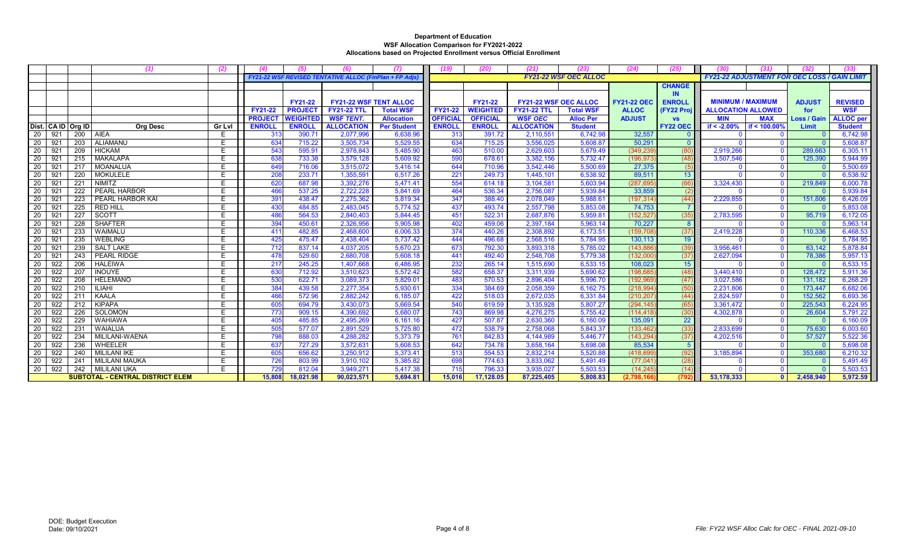|    |     |                    | (1)                              | (2)            |                 |                 | (6)                                                    | (7)                | 19)             | (20)            | (21)                         | (23)                         | (24)               | (25)            | (30)                                                | (31)         | (32)               | (33)             |
|----|-----|--------------------|----------------------------------|----------------|-----------------|-----------------|--------------------------------------------------------|--------------------|-----------------|-----------------|------------------------------|------------------------------|--------------------|-----------------|-----------------------------------------------------|--------------|--------------------|------------------|
|    |     |                    |                                  |                |                 |                 | FY21-22 WSF REVISED TENTATIVE ALLOC (FinPlan + FP Adjs |                    |                 |                 |                              | <b>FY21-22 WSF OEC ALLOC</b> |                    |                 | <b>FY21-22 ADJUSTMENT FOR OEC LOSS / GAIN LIMIT</b> |              |                    |                  |
|    |     |                    |                                  |                |                 |                 |                                                        |                    |                 |                 |                              |                              |                    | <b>CHANGE</b>   |                                                     |              |                    |                  |
|    |     |                    |                                  |                |                 |                 |                                                        |                    |                 |                 |                              |                              |                    | <b>IN</b>       |                                                     |              |                    |                  |
|    |     |                    |                                  |                |                 | FY21-22         | <b>FY21-22 WSF TENT ALLOC</b>                          |                    |                 | FY21-22         | <b>FY21-22 WSF OEC ALLOC</b> |                              | <b>FY21-22 OEC</b> | <b>ENROLL</b>   | <b>MINIMUM / MAXIMUM</b>                            |              | <b>ADJUST</b>      | <b>REVISED</b>   |
|    |     |                    |                                  |                | <b>FY21-22</b>  | <b>PROJEC</b>   | <b>FY21-22 TTL</b>                                     | <b>Total WSF</b>   | <b>FY21-22</b>  | <b>WEIGHTED</b> | <b>FY21-22 TTL</b>           | <b>Total WSF</b>             | <b>ALLOC</b>       | (FY22 Proj      | <b>ALLOCATION ALLOWED</b>                           |              | for                | <b>WSF</b>       |
|    |     |                    |                                  |                | <b>PROJECT</b>  | <b>WEIGHTED</b> | <b>WSF TENT.</b>                                       | <b>Allocation</b>  | <b>OFFICIAL</b> | <b>OFFICIAL</b> | <b>WSF OEC</b>               | <b>Alloc Per</b>             | <b>ADJUST</b>      | <b>VS</b>       | <b>MIN</b>                                          | <b>MAX</b>   | <b>Loss / Gair</b> | <b>ALLOC</b> per |
|    |     | Dist. CA ID Org ID | <b>Org Desc</b>                  | Gr Lvl         | <b>ENROLL</b>   | <b>ENROLL</b>   | <b>ALLOCATION</b>                                      | <b>Per Student</b> | <b>ENROLL</b>   | <b>ENROLL</b>   | <b>ALLOCATION</b>            | <b>Student</b>               |                    | <b>FY22 OEC</b> | if $< -2.00%$                                       | if < 100.00% | Limit              | <b>Student</b>   |
| 20 | 921 | 200                | <b>AIEA</b>                      | E              | 31 <sup>°</sup> | 390.71          | 2,077,996                                              | 6,638.96           | 313             | 391.72          | 2,110,551                    | 6,742.98                     | 32,557             |                 |                                                     | $\Omega$     |                    | 6,742.98         |
| 20 | 921 | $\overline{203}$   | <b>ALIAMANU</b>                  | $\overline{E}$ | 634             | 715.22          | 3,505,734                                              | 5,529.55           | 634             | 715.25          | 3,556,025                    | 5,608.87                     | 50.291             |                 |                                                     | $\Omega$     |                    | 5,608.87         |
| 20 | 921 | 209                | <b>HICKAM</b>                    | E              | 543             | 595.91          | 2,978,843                                              | 5,485.90           | 463             | 510.00          | 2,629,603                    | 5,679.49                     | (349, 239)         | (80)            | 2,919,266                                           | $\mathbf{0}$ | 289,663            | 6,305.11         |
| 20 | 921 | 215                | <b>MAKALAPA</b>                  | Ε              | 638             | 733.38          | 3,579,128                                              | 5,609.92           | 590             | 678.61          | 3,382,156                    | 5,732.47                     | (196,973           | (48)            | 3,507,546                                           | $\Omega$     | 125,390            | 5,944.99         |
| 20 | 921 | 217                | <b>MOANALUA</b>                  | E.             | 649             | 716.06          | 3,515,072                                              | 5,416.14           | 644             | 710.96          | 3,542,446                    | 5,500.69                     | 27,375             | (5)             |                                                     | $\Omega$     | $\Omega$           | 5,500.69         |
| 20 | 921 | 220                | <b>MOKULELE</b>                  | E              | 208             | 233.71          | 1,355,591                                              | 6,517.26           | 221             | 249.73          | 1,445,101                    | 6,538.92                     | 89,511             | 13 <sup>°</sup> |                                                     | $\Omega$     |                    | 6,538.92         |
| 20 | 921 | 221                | <b>NIMITZ</b>                    | E              | 620             | 687.98          | 3,392,276                                              | 5.471.41           | 554             | 614.18          | 3,104,581                    | 5,603.94                     | (287, 695)         | (66)            | 3,324,430                                           | $\mathbf{0}$ | 219,849            | 6,000.78         |
| 20 | 921 | 222                | <b>PEARL HARBOR</b>              | E              | 466             | 537.25          | 2,722,228                                              | 5,841.69           | 464             | 536.34          | 2,756,087                    | 5,939.84                     | 33,859             | (2)             |                                                     | $\mathbf{0}$ |                    | 5,939.84         |
| 20 | 921 | 223                | PEARL HARBOR KAI                 | E.             | 391             | 438.47          | 2,275,362                                              | 5,819.34           | 347             | 388.40          | 2,078,049                    | 5,988.61                     | (197, 314)         | (44)            | 2,229,855                                           | $\Omega$     | 151,806            | 6,426.09         |
| 20 | 921 | 225                | <b>RED HILL</b>                  | E              | 430             | 484.85          | 2,483,045                                              | 5,774.52           | 437             | 493.74          | 2,557,798                    | 5,853.08                     | 74,753             |                 |                                                     | $\Omega$     | $\Omega$           | 5,853.08         |
| 20 | 921 | 227                | <b>SCOTT</b>                     | E.             | 486             | 564.53          | 2,840,403                                              | 5,844.45           | 451             | 522.31          | 2,687,876                    | 5,959.81                     | (152, 527)         | (35)            | 2,783,595                                           | $\Omega$     | 95,719             | 6,172.05         |
| 20 | 921 | 228                | <b>SHAFTER</b>                   | E              | 394             | 450.61          | 2,326,956                                              | 5,905.98           | 402             | 459.06          | 2,397,184                    | 5,963.14                     | 70,227             | 8               |                                                     | $\mathbf{0}$ |                    | 5,963.14         |
| 20 | 921 | 233                | WAIMALU                          | E              | 411             | 482.85          | 2,468,600                                              | 6,006.33           | 374             | 440.26          | 2,308,892                    | 6.173.51                     | (159, 708)         | (37)            | 2.419.228                                           | $\Omega$     | 110,336            | 6,468.53         |
| 20 | 921 | 235                | <b>WEBLING</b>                   | Ε              | 425             | 475.47          | 2,438,404                                              | 5,737.42           | 444             | 496.68          | 2,568,516                    | 5,784.95                     | 130,113            | 19              |                                                     | $\mathbf{0}$ |                    | 5,784.95         |
| 20 | 921 | 239                | <b>SALT LAKE</b>                 | Ε              | 712             | 837.14          | 4,037,205                                              | 5,670.23           | 673             | 792.30          | 3,893,318                    | 5,785.02                     | (143, 886)         | (39)            | 3,956,461                                           | $\mathbf{0}$ | 63,142             | 5,878.84         |
| 20 | 921 | 243                | PEARL RIDGE                      | E              | 478             | 529.60          | 2,680,708                                              | 5,608.18           | 441             | 492.40          | 2,548,708                    | 5,779.38                     | (132,000)          | (37)            | 2,627,094                                           | $\mathbf{0}$ | 78,386             | 5,957.13         |
| 20 | 922 | 206                | <b>HALEIWA</b>                   | E              | 217             | 245.25          | 1,407,668                                              | 6,486.95           | 232             | 265.14          | 1,515,690                    | 6.533.15                     | 108,023            | 15              |                                                     | $\mathbf{0}$ |                    | 6,533.15         |
| 20 | 922 | 207                | <b>INOUYE</b>                    | Ε              | 630             | 712.92          | 3,510,623                                              | 5,572.42           | 582             | 658.37          | 3,311,939                    | 5,690.62                     | (198, 685)         | (48)            | 3,440,410                                           | $\mathbf{0}$ | 128,472            | 5,911.36         |
| 20 | 922 | 208                | <b>HELEMANO</b>                  | Е              | 530             | 622.71          | 3,089,373                                              | 5,829.01           | 483             | 570.53          | 2,896,404                    | 5,996.70                     | (192,969           | (47)            | 3,027,586                                           | $\mathbf 0$  | 131,182            | 6,268.29         |
| 20 | 922 | 210                | <b>ILIAHI</b>                    | F              | 384             | 439.58          | 2,277,354                                              | 5,930.61           | 334             | 384.69          | 2,058,359                    | 6,162.75                     | (218, 994)         | (50)            | 2,231,806                                           | $\Omega$     | 173,447            | 6,682.06         |
| 20 | 922 | 211                | KAALA                            | E              | 466             | 572.96          | 2,882,242                                              | 6,185.07           | 422             | 518.03          | 2,672,035                    | 6,331.84                     | (210, 207)         | (44)            | 2,824,597                                           | $\Omega$     | 152,562            | 6,693.36         |
| 20 | 922 | 212                | <b>KIPAPA</b>                    | E              | 605             | 694.79          | 3,430,073                                              | 5,669.54           | 540             | 619.59          | 3,135,928                    | 5,807.27                     | (294, 145)         | (65)            | 3,361,472                                           | $\Omega$     | 225,543            | 6,224.95         |
| 20 | 922 | 226                | SOLOMON                          | Е              | 773             | 909.15          | 4,390,692                                              | 5,680.0            | 743             | 869.98          | 4,276,275                    | 5,755.42                     | (114, 418)         | (30)            | 4,302,878                                           | $\Omega$     | 26,604             | 5,791.22         |
| 20 | 922 | 229                | <b>WAHIAWA</b>                   | E              | 405             | 485.85          | 2,495,269                                              | 6,161.16           | 427             | 507.87          | 2,630,360                    | 6,160.09                     | 135,091            | 22              |                                                     | $\mathbf{0}$ |                    | 6,160.09         |
| 20 | 922 | 231                | <b>WAIALUA</b>                   | F              | 505             | 577.07          | 2,891,529                                              | 5,725.80           | 472             | 538.79          | 2,758,068                    | 5,843.37                     | (133, 462)         | (33)            | 2,833,699                                           | $\mathbf{0}$ | 75,630             | 6,003.60         |
| 20 | 922 | 234                | MILILANI-WAENA                   | E              | 798             | 888.03          | 4,288,282                                              | 5,373.79           | 761             | 842.83          | 4,144,989                    | 5,446.77                     | (143, 294)         | (37)            | 4,202,516                                           | $\Omega$     | 57,527             | 5,522.36         |
| 20 | 922 | 236                | <b>WHEELER</b>                   | Ε              | 637             | 727.29          | 3,572,631                                              | 5,608.53           | 642             | 734.78          | 3,658,164                    | 5,698.08                     | 85,534             | 5 <sup>5</sup>  |                                                     | $\Omega$     |                    | 5,698.08         |
| 20 | 922 | 240                | <b>MILILANI IKE</b>              | Е              | 605             | 656.62          | 3,250,912                                              | 5,373.41           | 513             | 554.53          | 2,832,214                    | 5,520.88                     | (418,699           | (92)            | 3,185,894                                           | $\mathbf{0}$ | 353,680            | 6,210.32         |
| 20 | 922 | 241                | <b>MILILANI MAUKA</b>            | E              | 726             | 803.99          | 3,910,102                                              | 5,385.82           | 698             | 774.63          | 3,833,062                    | 5,491.49                     | (77,041)           | (28)            |                                                     | $\mathbf{0}$ |                    | 5,491.49         |
| 20 | 922 | 242                | <b>MILILANI UKA</b>              | Е              | 729             | 812.04          | 3,949,271                                              | 5,417.38           | 715             | 796.33          | 3,935,027                    | 5,503.53                     | (14.245            | (14)            |                                                     | $\Omega$     |                    | 5,503.53         |
|    |     |                    | SUBTOTAL - CENTRAL DISTRICT ELEM |                | 15,808          | 18,021.98       | 90,023,571                                             | 5,694.81           | 15,016          | 17,128.05       | 87,225,405                   | 5,808.83                     | (2,798,166)        | (792)           | 53,178,333                                          | $\mathbf{0}$ | 2,458,940          | 5,972.59         |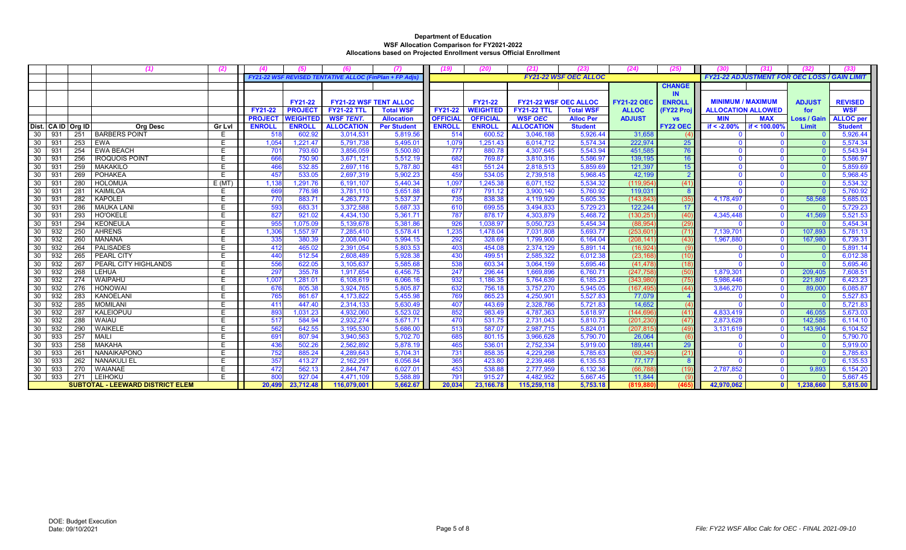|                       |     |                                         | (2)           |                | (5)             | (6)                                                    | (7)                | (19)            | (20)            | (21)                         | (23)                         | (24)               | (25)            | (30)                                                | (31)                    | (32)               | (33              |
|-----------------------|-----|-----------------------------------------|---------------|----------------|-----------------|--------------------------------------------------------|--------------------|-----------------|-----------------|------------------------------|------------------------------|--------------------|-----------------|-----------------------------------------------------|-------------------------|--------------------|------------------|
|                       |     |                                         |               |                |                 | FY21-22 WSF REVISED TENTATIVE ALLOC (FinPlan + FP Adis |                    |                 |                 |                              | <b>FY21-22 WSF OEC ALLOC</b> |                    |                 | <b>FY21-22 ADJUSTMENT FOR OEC LOSS / GAIN LIMIT</b> |                         |                    |                  |
|                       |     |                                         |               |                |                 |                                                        |                    |                 |                 |                              |                              |                    | <b>CHANGE</b>   |                                                     |                         |                    |                  |
|                       |     |                                         |               |                |                 |                                                        |                    |                 |                 |                              |                              |                    | <b>IN</b>       |                                                     |                         |                    |                  |
|                       |     |                                         |               |                | <b>FY21-22</b>  | <b>FY21-22 WSF TENT ALLOC</b>                          |                    |                 | FY21-22         | <b>FY21-22 WSF OEC ALLOC</b> |                              | <b>FY21-22 OEC</b> | <b>ENROLL</b>   | <b>MINIMUM / MAXIMUM</b>                            |                         | <b>ADJUST</b>      | <b>REVISED</b>   |
|                       |     |                                         |               | <b>FY21-22</b> | <b>PROJEC</b>   | <b>FY21-22 TTL</b>                                     | <b>Total WSF</b>   | <b>FY21-22</b>  | <b>WEIGHTED</b> | <b>FY21-22 TTL</b>           | <b>Total WSF</b>             | <b>ALLOC</b>       | (FY22 Proj      | <b>ALLOCATION ALLOWED</b>                           |                         | for                | <b>WSF</b>       |
|                       |     |                                         |               | <b>PROJECT</b> | <b>WEIGHTED</b> | <b>WSF TENT.</b>                                       | <b>Allocation</b>  | <b>OFFICIAL</b> | <b>OFFICIAL</b> | <b>WSF OEC</b>               | <b>Alloc Per</b>             | <b>ADJUST</b>      | <b>VS</b>       | <b>MIN</b>                                          | <b>MAX</b>              | <b>Loss / Gair</b> | <b>ALLOC</b> per |
| Dist. CA ID Org ID    |     | <b>Org Desc</b>                         | <b>Gr Lvl</b> | <b>ENROLL</b>  | <b>ENROLL</b>   | <b>ALLOCATION</b>                                      | <b>Per Student</b> | <b>ENROLL</b>   | <b>ENROLL</b>   | <b>ALLOCATION</b>            | <b>Student</b>               |                    | <b>FY22 OEC</b> | if $< -2.00\%$                                      | if < 100.00%            | Limit              | <b>Student</b>   |
| -30<br>931            | 251 | <b>BARBERS POINT</b>                    | E.            | 518            | 602.92          | 3,014,531                                              | 5,819.56           | 514             | 600.52          | 3,046,188                    | 5,926.44                     | 31,658             | (4)             |                                                     | $\mathbf{0}$            |                    | 5,926.44         |
| 30<br>931             | 253 | EWA                                     | Е             | 1,054          | 1.221.47        | 5,791,738                                              | 5,495.0            | 1,079           | 1,251.43        | 6,014,712                    | 5,574.34                     | 222.974            | 25              |                                                     | $\Omega$                |                    | 5,574.34         |
| 30<br>931             | 254 | <b>EWA BEACH</b>                        | Е             | 701            | 793.60          | 3,856,059                                              | 5,500.80           | 777             | 880.78          | 4,307,645                    | 5,543.94                     | 451,585            | 76              |                                                     | $\Omega$                | $\Omega$           | 5,543.94         |
| 30<br>931             | 256 | <b>IROQUOIS POINT</b>                   | F.            | 666            | 750.90          | 3,671,121                                              | 5,512.19           | 682             | 769.87          | 3,810,316                    | 5,586.97                     | 139,195            | 16 <sup>°</sup> |                                                     | $\Omega$                | $\Omega$           | 5,586.97         |
| 30<br>93 <sup>2</sup> | 259 | <b>MAKAKILO</b>                         | E             | 466            | 532.85          | 2,697,116                                              | 5,787.80           | 481             | 551.24          | 2,818,513                    | 5,859.69                     | 121,397            | 15              |                                                     | $\mathbf{0}$            | $\Omega$           | 5,859.69         |
| 30<br>93'             | 269 | <b>POHAKEA</b>                          | E             | 457            | 533.05          | 2,697,319                                              | 5.902.23           | 459             | 534.05          | 2,739,518                    | 5,968.45                     | 42.199             | $\overline{2}$  |                                                     | $\Omega$                |                    | 5,968.45         |
| 30<br>93'             | 280 | <b>HOLOMUA</b>                          | E(MT)         | 1,138          | .291.76         | 6,191,107                                              | 5,440.34           | 1,097           | 1,245.38        | 6,071,152                    | 5,534.32                     | (119, 954)         | (41)            |                                                     | $\mathbf{0}$            |                    | 5,534.32         |
| 30<br>93 <sup>2</sup> | 281 | <b>KAIMILOA</b>                         | Е             | 669            | 776.98          | 3,781,110                                              | 5,651.88           | 677             | 791.12          | 3,900,140                    | 5,760.92                     | 119,031            | 8               |                                                     | $\mathbf{0}$            |                    | 5,760.92         |
| 30<br>93'             | 282 | <b>KAPOLEI</b>                          | E             | 770            | 883.71          | 4,263,773                                              | 5,537.37           | 735             | 838.38          | 4,119,929                    | 5,605.35                     | (143, 843)         | (35)            | 4,178,497                                           | $\mathbf{0}$            | 58,568             | 5,685.03         |
| 30<br>93'             | 286 | <b>MAUKA LANI</b>                       | Е             | 593            | 683.31          | 3,372,588                                              | 5,687.33           | 610             | 699.55          | 3,494,833                    | 5,729.23                     | 122,244            | 17              |                                                     | $\mathbf{0}$            | - റ                | 5,729.23         |
| 30<br>931             | 293 | <b>HO'OKELE</b>                         | E.            | 827            | 921.02          | 4,434,130                                              | 5,361.71           | 787             | 878.17          | 4,303,879                    | 5.468.72                     | (130, 251)         | (40)            | 4,345,448                                           | $\mathbf{0}$            | 41,569             | 5,521.53         |
| 30<br>931             | 294 | KEONEULA                                | E             | 955            | 1,075.09        | 5,139,678                                              | 5,381.86           | 926             | 1,038.97        | 5,050,723                    | 5,454.34                     | (88, 954)          | (29)            |                                                     | $\mathbf{0}$            |                    | 5,454.34         |
| 30<br>932             | 250 | <b>AHRENS</b>                           | Е             | 1,306          | .557.97         | 7,285,410                                              | 5,578.41           | 1,235           | 1,478.04        | 7,031,808                    | 5,693.77                     | (253, 601)         | (71)            | 7,139,701                                           | $\mathbf{0}$            | 107,893            | 5,781.13         |
| 932<br>30             | 260 | <b>MANANA</b>                           | Ε             | 335            | 380.39          | 2,008,040                                              | 5,994.15           | 292             | 328.69          | 1,799,900                    | 6,164.04                     | (208, 141)         | (43)            | 1,967,880                                           | $\mathbf{0}$            | 167,980            | 6,739.31         |
| 30<br>932             | 264 | <b>PALISADES</b>                        | E             | 412            | 465.02          | 2,391,054                                              | 5,803.53           | 403             | 454.08          | 2,374,129                    | 5,891.14                     | (16, 924)          | (9)             |                                                     | $\mathbf{0}$            |                    | 5,891.14         |
| 932<br>30             | 265 | PEARL CITY                              | E             | 440            | 512.54          | 2,608,489                                              | 5,928.38           | 430             | 499.51          | 2,585,322                    | 6,012.38                     | (23, 168)          | (10)            | $\Omega$                                            | $\mathbf{0}$            |                    | 6,012.38         |
| 30<br>932             | 267 | PEARL CITY HIGHLANDS                    | E             | 556            | 622.05          | 3,105,637                                              | 5,585.68           | 538             | 603.34          | 3,064,159                    | 5,695.46                     | (41, 478)          | (18)            |                                                     | $\overline{\mathbf{0}}$ |                    | 5,695.46         |
| 30<br>932             | 268 | <b>LEHUA</b>                            | Е             | 297            | 355.78          | 1,917,654                                              | 6,456.75           | 247             | 296.44          | 1,669,896                    | 6,760.71                     | (247, 758)         | (50)            | 1,879,301                                           | $\mathbf{0}$            | 209,405            | 7,608.51         |
| 932<br>30             | 274 | WAIPAHU                                 | E             | 1,007          | 1,281.01        | 6,108,619                                              | 6,066.16           | 932             | 1,186.35        | 5,764,639                    | 6.185.23                     | (343,980)          | (75)            | 5,986,446                                           | $\mathbf{0}$            | 221,807            | 6,423.23         |
| 932<br>30             | 276 | <b>HONOWAI</b>                          | E             | 676            | 805.38          | 3,924,765                                              | 5,805.87           | 632             | 756.18          | 3,757,270                    | 5,945.05                     | (167, 495)         | (44)            | 3,846,270                                           | $\mathbf{0}$            | 89,000             | 6,085.87         |
| 30<br>932             | 283 | KANOELANI                               | Ε             | 765            | 861.67          | 4,173,822                                              | 5,455.98           | 769             | 865.23          | 4,250,90                     | 5,527.83                     | 77,079             | $\Delta$        |                                                     | $\mathbf{0}$            |                    | 5,527.83         |
| 932<br>30             | 285 | <b>MOMILANI</b>                         | Е             | 411            | 447.40          | 2,314,133                                              | 5,630.49           | 407             | 443.69          | 2,328,786                    | 5,721.83                     | 14,652             | $\overline{A}$  |                                                     | $\mathbf 0$             |                    | 5,721.83         |
| 932<br>-30            | 287 | KALEIOPUU                               | Е             | 893            | .031.23         | 4,932,060                                              | 5,523.02           | 852             | 983.49          | 4,787,363                    | 5,618.97                     | (144, 696)         | (41)            | 4,833,419                                           | $\overline{\mathbf{0}}$ | 46,055             | 5,673.03         |
| 932<br>30             | 288 | <b>WAIAU</b>                            | E             | 517            | 584.94          | 2,932,274                                              | 5,671.71           | 470             | 531.75          | 2,731,043                    | 5,810.73                     | (201, 230)         | (47)            | 2,873,628                                           | $\overline{0}$          | 142,585            | 6,114.10         |
| 932<br>30             | 290 | <b>WAIKELE</b>                          | E             | 562            | 642.55          | 3,195,530                                              | 5,686.00           | 513             | 587.07          | 2,987,715                    | 5,824.01                     | (207, 815)         | (49)            | 3,131,619                                           | $\mathbf{0}$            | 143,904            | 6,104.52         |
| 30<br>933             | 257 | <b>MAILI</b>                            | E             | 691            | 807.94          | 3,940,563                                              | 5,702.70           | 685             | 801.15          | 3,966,628                    | 5,790.70                     | 26,064             | (6)             |                                                     | $\Omega$                |                    | 5,790.70         |
| 933<br>30             | 258 | <b>MAKAHA</b>                           | Е             | 436            | 502.26          | 2,562,892                                              | 5,878.19           | 465             | 536.01          | 2,752,334                    | 5,919.00                     | 189,441            | 29              |                                                     | $\mathbf{0}$            |                    | 5,919.00         |
| 933<br>30             | 261 | <b>NANAIKAPONO</b>                      | E             | 752            | 885.24          | 4,289,643                                              | 5,704.31           | 731             | 858.35          | 4,229,298                    | 5.785.63                     | (60, 345)          | (21)            |                                                     | $\mathbf{0}$            |                    | 5,785.63         |
| 30<br>933             | 262 | <b>NANAKULI EL</b>                      | E             | 357            | 413.27          | 2,162,291                                              | 6,056.84           | 365             | 423.80          | 2,239,468                    | 6,135.53                     | 77,177             | 8               |                                                     | $\mathbf{0}$            |                    | 6,135.53         |
| 933<br>30             | 270 | WAIANAE                                 | E             | 472            | 562.13          | 2,844,747                                              | 6,027.01           | 453             | 538.88          | 2,777,959                    | 6,132.36                     | (66, 788)          | (19)            | 2,787,852                                           | $\mathbf 0$             | 9,893              | 6,154.20         |
| 933<br>30             | 271 | LEIHOKU                                 | F             | 800            | 927.04          | 4,471,109                                              | 5,588.89           | 791             | 915.27          | 4,482,952                    | 5,667.45                     | 11,844             | - (9            |                                                     | $\overline{0}$          |                    | 5,667.45         |
|                       |     | <b>SUBTOTAL - LEEWARD DISTRICT ELEM</b> |               | 20,499         | 23,712.48       | 116,079,001                                            | 5,662.67           | 20,034          | 23,166.78       | 115,259,118                  | 5,753.18                     | (819,880           | (465)           | 42,970,062                                          | $\mathbf{0}$            | 1,238,660          | 5,815.00         |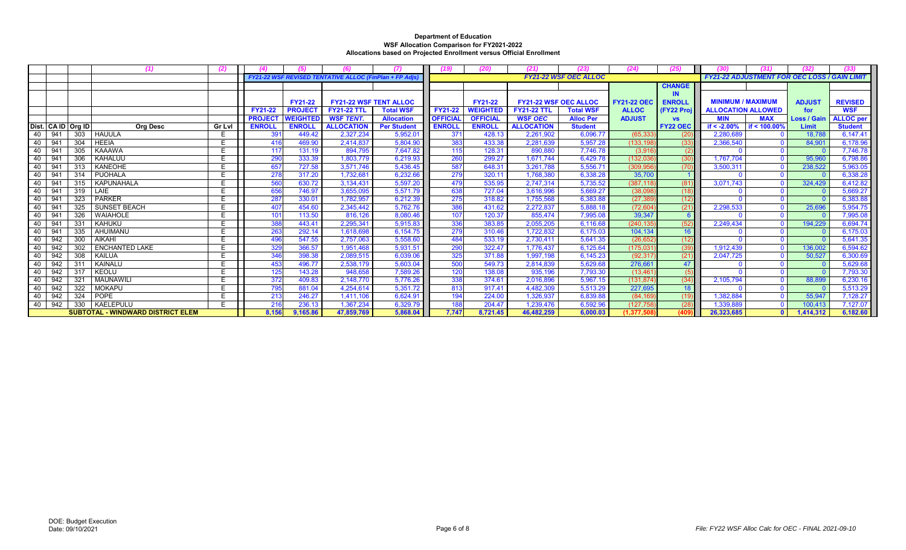|     |                                          |     |                       |               |                |                 | FY21-22 WSF REVISED TENTATIVE ALLOC (FinPlan + FP Adjs |                    |                 |                 |                              | <b>FY21-22 WSF OEC ALLOC</b> |                    |                 | <b>FY21-22 ADJUSTMENT FOR OEC LOSS / GAIN LIMIT</b> |                 |                    |                  |
|-----|------------------------------------------|-----|-----------------------|---------------|----------------|-----------------|--------------------------------------------------------|--------------------|-----------------|-----------------|------------------------------|------------------------------|--------------------|-----------------|-----------------------------------------------------|-----------------|--------------------|------------------|
|     |                                          |     |                       |               |                |                 |                                                        |                    |                 |                 |                              |                              |                    | <b>CHANGE</b>   |                                                     |                 |                    |                  |
|     |                                          |     |                       |               |                |                 |                                                        |                    |                 |                 |                              |                              |                    |                 |                                                     |                 |                    |                  |
|     |                                          |     |                       |               |                | <b>FY21-22</b>  | <b>FY21-22 WSF TENT ALLOC</b>                          |                    |                 | <b>FY21-22</b>  | <b>FY21-22 WSF OEC ALLOC</b> |                              | <b>FY21-22 OEC</b> | <b>ENROLL</b>   | <b>MINIMUM / MAXIMUM</b>                            |                 | <b>ADJUST</b>      | <b>REVISED</b>   |
|     |                                          |     |                       |               | FY21-22        | <b>PROJEC</b>   | <b>FY21-22 TTL</b>                                     | <b>Total WSF</b>   | FY21-22         | <b>NEIGHTED</b> | <b>FY21-22 TTL</b>           | <b>Total WSF</b>             | <b>ALLOC</b>       | (FY22 Proi      | <b>ALLOCATION ALLOWED</b>                           |                 | for                | <b>WSF</b>       |
|     |                                          |     |                       |               | <b>PROJECT</b> | <b>WEIGHTED</b> | <b>WSF TENT.</b>                                       | <b>Allocation</b>  | <b>OFFICIAL</b> | <b>OFFICIAL</b> | <b>WSF OEC</b>               | <b>Alloc Per</b>             | <b>ADJUST</b>      | <b>VS</b>       | <b>MIN</b>                                          | <b>MAX</b>      | <b>Loss / Gain</b> | <b>ALLOC</b> per |
|     | Dist. CA ID Org ID                       |     | <b>Org Desc</b>       | <b>Gr Lvl</b> | <b>ENROLI</b>  | <b>ENROLL</b>   | <b>ALLOCATION</b>                                      | <b>Per Student</b> | <b>ENROLL</b>   | <b>ENROLL</b>   | <b>ALLOCATION</b>            | <b>Student</b>               |                    | <b>FY22 OEC</b> | if $< -2.00%$                                       | if < $100.00\%$ | Limit              | <b>Student</b>   |
| -40 | 941                                      | 303 | <b>HAUULA</b>         | E.            | 391            | 449.42          | 2,327,234                                              | 5,952.0            | 371             | 428.13          | 2,261,902                    | 6,096.77                     | (65, 333)          | (20)            | 2,280,689                                           | - 0             | 18.788             | 6,147.41         |
| 40  | 94 <sup>′</sup>                          | 304 | <b>HEEIA</b>          | E             |                | 469.90          | 2,414,837                                              | 5,804.90           | 383             | 433.38          | 2,281,639                    | 5,957.28                     | 133,198            | (33)            | 2,366,540                                           |                 | 84,901             | 6,178.96         |
| 40  | 941                                      | 305 | <b>KAAAWA</b>         | E.            | 117            | 131.19          | 894,795                                                | 7,647.82           | 115             | 128.31          | 890,880                      | 7.746.78                     | (3,916)            |                 |                                                     | - 0             |                    | 7,746.78         |
| 40  | 941                                      | 306 | <b>KAHALUU</b>        | E             | 290            | 333.39          | 1,803,779                                              | 6,219.93           | 260             | 299.27          | 1,671,744                    | 6,429.78                     | (132,036)          | (30)            | 1,767,704                                           | $\Omega$        | 95,960             | 6,798.86         |
| 40  | 941                                      | 313 | <b>KANEOHE</b>        | E.            | 657            | 727.58          | 3.571.746                                              | 5,436.45           | 587             | 648.31          | 3,261,788                    | 5.556.71                     | (309, 956)         | (70)            | 3,500,311                                           | $\Omega$        | 238,522            | 5,963.05         |
| 40  | 94 <sup>′</sup>                          | 314 | <b>PUOHALA</b>        | E             | 278            | 317.20          | 1.732.681                                              | 6.232.66           | 279             | 320.11          | 1.768.380                    | 6.338.28                     | 35,700             |                 |                                                     | $\Omega$        |                    | 6,338.28         |
| 40  | 94'                                      | 315 | KAPUNAHALA            | E             | 560            | 630.72          | 3,134,431                                              | 5,597.20           | 479             | 535.95          | 2,747,314                    | 5,735.52                     | (387, 118)         | (81)            | 3.071.743                                           | $\Omega$        | 324,429            | 6,412.82         |
| 40  | -94                                      | 319 | LAIE                  | E             | 656            | 746.97          | 3,655,095                                              | 5,571.79           | 638             | 727.04          | 3,616,996                    | 5,669.27                     | (38,098)           | (18)            |                                                     | - 0             |                    | 5,669.27         |
| 40  | 941                                      | 323 | <b>PARKER</b>         | F.            | 287            | 330.01          | 1,782,957                                              | 6.212.39           | 275             | 318.82          | 1,755,568                    | 6,383.88                     | (27, 389)          | (12)            |                                                     | - 0             |                    | 6,383.88         |
| 40  | 94'                                      | 325 | <b>SUNSET BEACH</b>   | E             | 407            | 454.60          | 2,345,442                                              | 5.762.76           | 386             | 431.62          | 2,272,837                    | 5,888.18                     | (72, 604)          | (21)            | 2,298,533                                           | - 0             | 25,696             | 5,954.75         |
| 40  | 94 <sup>′</sup>                          | 326 | <b>WAIAHOLE</b>       | E             | 101            | 113.50          | 816,126                                                | 8,080.46           | 107             | 120.37          | 855,474                      | 7.995.08                     | 39,347             |                 |                                                     | $\Omega$        |                    | 7,995.08         |
| 40  | 94'                                      | 331 | <b>KAHUKU</b>         | E             | 388            | 443.41          | 2,295,341                                              | 5,915.83           | 336             | 383.85          | 2,055,205                    | 6.116.68                     | (240.135)          | (52)            | 2,249,434                                           | $\Omega$        | 194,229            | 6,694.74         |
| 40  | 941                                      | 335 | AHUIMANU              | E             | 263            | 292.14          | 1,618,698                                              | 6.154.75           | 279             | 310.46          | 1,722,832                    | 6.175.03                     | 104,134            | 16              |                                                     |                 |                    | 6,175.03         |
| 40  | 942                                      | 300 | <b>AIKAHI</b>         | F             | 496            | 547.55          | 2,757,063                                              | 5,558.60           | 484             | 533.19          | 2,730,411                    | 5.641.35                     | (26, 652)          | (12)            |                                                     | - 0             |                    | 5,641.35         |
| 40  | 942                                      | 302 | <b>ENCHANTED LAKE</b> | E.            | 329            | 366.57          | 1,951,468                                              | 5,931.51           | 290             | 322.47          | 1,776,437                    | 6.125.64                     | (175,031           | (39)            | 1.912.439                                           | $\Omega$        | 136,002            | 6,594.62         |
| 40  | 942                                      | 308 | <b>KAILUA</b>         | F             | 346            | 398.38          | 2.089.515                                              | 6,039.06           | 325             | 371.88          | 1,997,198                    | 6.145.23                     | (92, 317)          | (21)            | 2.047.725                                           | $\Omega$        | 50,527             | 6,300.69         |
| 40  | 942                                      | 311 | KAINALU               | Ε             | 453            | 496.77          | 2,538,179                                              | 5,603.04           | 500             | 549.73          | 2,814,839                    | 5,629.68                     | 276,661            | 47              |                                                     | - 0             |                    | 5,629.68         |
| 40  | 942                                      | 317 | KEOLU                 | F             | 125            | 143.28          | 948,658                                                | 7,589.26           | 120             | 138.08          | 935,196                      | 7,793.30                     | (13, 461)          |                 |                                                     | $\Omega$        |                    | 7,793.30         |
| 40  | 942                                      | 321 | <b>MAUNAWIL</b>       | Е             | 372            | 409.83          | 2.148.770                                              | 5.776.26           | 338             | 374.61          | 2,016,896                    | 5.967.15                     | (131, 874)         | (34)            | 2,105,794                                           | - 0             | 88.899             | 6,230.16         |
| 40  | 942                                      | 322 | <b>MOKAPU</b>         | E             | 795            | 881.04          | 4.254.614                                              | 5.351.72           | 813             | 917.41          | 4,482,309                    | 5.513.29                     | 227,695            | 18              |                                                     | $\Omega$        |                    | 5,513.29         |
| 40  | 942                                      | 324 | <b>POPE</b>           |               | 213            | 246.27          | 1,411,106                                              | 6,624.91           | 194             | 224.00          | 1,326,937                    | 6,839.88                     | (84, 169)          | (19)            | 1,382,884                                           | - 0             | 55,947             | 7,128.27         |
| 40  | 942                                      | 330 | <b>KAELEPULU</b>      | Е             | 216            | 236.13          | 1,367,234                                              | 6,329.79           | 188             | 204.47          | 1,239,476                    | 6,592.96                     | (127, 758)         | (28)            | 1,339,889                                           | $\Omega$        | 100,413            | 7,127.07         |
|     | <b>SUBTOTAL - WINDWARD DISTRICT ELEM</b> |     |                       |               | 8.156          | 9.165.86        | 47.859.769                                             | 5,868.04           | 7.747           | 8.721.45        | 46,482,259                   | 6,000.03                     | 1.377.508          | (409            | 26.323.685                                          | - 0             | 1,414,312          | 6,182.60         |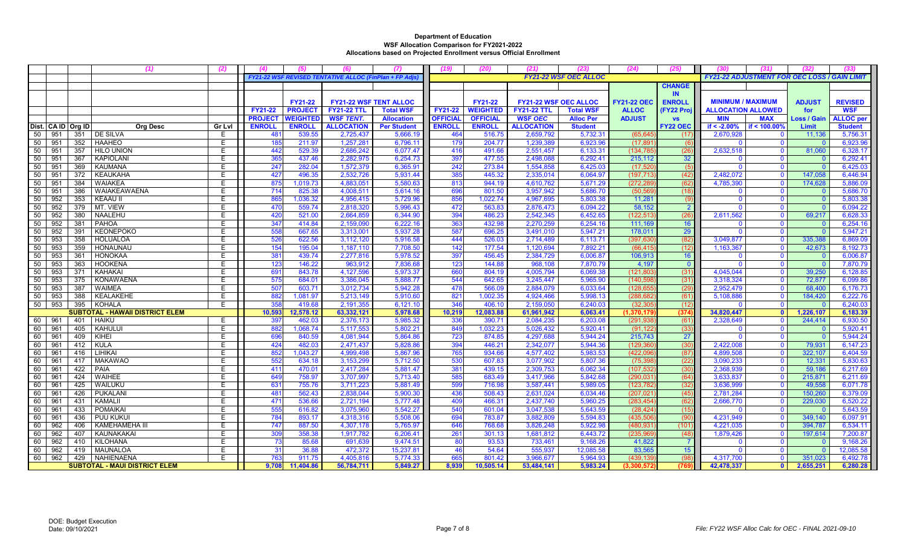|    |                               |                    |                                        | (2)    |                 |                 |                                                   |                    |                 | (20)            |                              |                              | (24)               | (25)            |                           | (31                                                 |                    |                  |
|----|-------------------------------|--------------------|----------------------------------------|--------|-----------------|-----------------|---------------------------------------------------|--------------------|-----------------|-----------------|------------------------------|------------------------------|--------------------|-----------------|---------------------------|-----------------------------------------------------|--------------------|------------------|
|    |                               |                    |                                        |        |                 |                 | <b>FY21-22 WSF REVISED TENTATIVE ALLOC (FinPI</b> | lan + FP Adj       |                 |                 |                              | <b>FY21-22 WSF OEC ALLOC</b> |                    |                 |                           | <b>FY21-22 ADJUSTMENT FOR OEC LOSS / GAIN LIMIT</b> |                    |                  |
|    |                               |                    |                                        |        |                 |                 |                                                   |                    |                 |                 |                              |                              |                    | <b>CHANGE</b>   |                           |                                                     |                    |                  |
|    |                               |                    |                                        |        |                 |                 |                                                   |                    |                 |                 |                              |                              |                    | <b>IN</b>       |                           |                                                     |                    |                  |
|    |                               |                    |                                        |        |                 | <b>FY21-22</b>  | <b>FY21-22 WSF TENT ALLOC</b>                     |                    |                 | <b>FY21-22</b>  | <b>FY21-22 WSF OEC ALLOC</b> |                              | <b>FY21-22 OEC</b> | <b>ENROLL</b>   | <b>MINIMUM / MAXIMUM</b>  |                                                     | <b>ADJUST</b>      | <b>REVISED</b>   |
|    |                               |                    |                                        |        | FY21-22         | <b>PROJEC1</b>  | <b>FY21-22 TTL</b>                                | <b>Total WSF</b>   | <b>FY21-22</b>  | <b>WEIGHTED</b> | <b>FY21-22 TTL</b>           | <b>Total WSF</b>             | <b>ALLOC</b>       | (FY22 Proj      | <b>ALLOCATION ALLOWED</b> |                                                     | for                | <b>WSF</b>       |
|    |                               |                    |                                        |        | <b>PROJECT</b>  | <b>WEIGHTED</b> | <b>WSF TENT.</b>                                  | <b>Allocation</b>  | <b>OFFICIAL</b> | <b>OFFICIAL</b> | <b>WSF OEC</b>               | <b>Alloc Per</b>             | <b>ADJUST</b>      | <b>VS</b>       | <b>MIN</b>                | <b>MAX</b>                                          | <b>Loss / Gain</b> | <b>ALLOC</b> per |
|    |                               | Dist. CA ID Org ID | <b>Org Desc</b>                        | Gr Lvl | <b>ENROLL</b>   | <b>ENROLI</b>   | <b>ALLOCATION</b>                                 | <b>Per Student</b> | <b>ENROLI</b>   | <b>ENROLL</b>   | <b>ALLOCATION</b>            | <b>Student</b>               |                    | <b>FY22 OEC</b> | if $< -2.00%$             | if < 100.00%                                        | <b>Limit</b>       | <b>Student</b>   |
| 50 | 951                           | 351                | DE SILVA                               | E      | 48              | 539.55          | 2,725,437                                         | 5,666.19           | 464             | 516.75          | 2,659,792                    | 5,732.31                     | (65, 64)           | (17)            | 2,670,928                 |                                                     | 11,136             | 5,756.31         |
| 50 | 951                           | 352                | <b>HAAHEO</b>                          | E      | 185             | 211.97          | 1,257,281                                         | 6,796.1            | 179             | 204.77          | 1,239,389                    | 6,923.96                     | (17, 89)           | (6)             |                           | $\Omega$                                            |                    | 6,923.96         |
| 50 | 951                           | 357                | <b>HILO UNION</b>                      | E      | 44'             | 529.39          | 2.686.242                                         | 6,077.47           | 416             | 491.66          | 2,551,457                    | 6.133.31                     | (134, 78)          | (26)            | 2,632,518                 | $\Omega$                                            | 81,060             | 6,328.17         |
| 50 | 951                           | 367                | <b>KAPIOLANI</b>                       | Ε      | 365             | 437.46          | 2,282,975                                         | 6,254.73           | 397             | 477.55          | 2,498,088                    | 6,292.41                     | 215,112            | 32              |                           | $\Omega$                                            |                    | 6,292.41         |
| 50 | 951                           | 369                | <b>KAUMANA</b>                         | Ε      | 247             | 282.04          | 1,572,379                                         | 6,365.91           | 242             | 273.84          | 1,554,858                    | 6,425.03                     | (17, 52)           | (5)             |                           | $\mathbf{0}$                                        |                    | 6,425.03         |
| 50 | 951                           | 372                | <b>KEAUKAHA</b>                        | E      | 427             | 496.35          | 2,532,726                                         | 5,931.44           | 385             | 445.32          | 2,335,014                    | 6,064.97                     | (197, 713)         | (42)            | 2,482,072                 | $\mathbf{0}$                                        | 147.058            | 6,446.94         |
| 50 | 951                           | 384                | <b>WAIAKEA</b>                         | E      | 875             | 1.019.73        | 4.883.051                                         | 5,580.63           | 813             | 944.19          | 4,610,762                    | 5.671.29                     | (272.28)           | (62)            | 4,785,390                 | $\mathbf{0}$                                        | 174,628            | 5,886.09         |
| 50 | 951                           | 386                | <b>WAIAKEAWAENA</b>                    | E      | 714             | 825.38          | 4,008,511                                         | 5,614.16           | 696             | 801.50          | 3,957,942                    | 5.686.70                     | (50, 569)          | (18)            |                           | $\Omega$                                            |                    | 5.686.70         |
| 50 | 952                           | 353                | <b>KEAAU II</b>                        | E      | 865             | 1,036.32        | 4,956,415                                         | 5,729.96           | 856             | 1,022.74        | 4,967,695                    | 5,803.38                     | 11,281             | (9)             | $\Omega$                  | $\mathbf{0}$                                        | $\sqrt{ }$         | 5,803.38         |
| 50 | 952                           | 379                | MT. VIEW                               | Е      | 470             | 559.74          | 2,818,320                                         | 5,996.43           | 472             | 563.83          | 2,876,473                    | 6,094.22                     | 58,152             | $\overline{2}$  |                           | $\mathbf{0}$                                        |                    | 6,094.22         |
| 50 | 952                           | 380                | <b>NAALEHU</b>                         | Ε      | 420             | 521.00          | 2,664,859                                         | 6,344.90           | 394             | 486.23          | 2,542,345                    | 6.452.65                     | (122, 513)         | (26)            | 2,611,562                 | $\mathbf{0}$                                        | 69,217             | 6,628.33         |
| 50 | 952                           | 381                | <b>PAHOA</b>                           | E      | 34 <sup>7</sup> | 414.84          | 2,159,090                                         | 6,222.16           | 363             | 432.98          | 2,270,259                    | 6,254.16                     | 111,169            | 16              |                           | $\mathbf{0}$                                        | - C                | 6,254.16         |
| 50 | 952                           | 391                | <b>KEONEPOKO</b>                       | E      | 555             | 667.65          | 3,313,001                                         | 5,937.28           | 587             | 696.25          | 3,491,010                    | 5.947.21                     | 178.011            | 29              |                           | $\Omega$                                            |                    | 5.947.21         |
| 50 | 953                           | 358                | <b>HOLUALOA</b>                        | Е      | 526             | 622.56          | 3,112,120                                         | 5,916.58           | 444             | 526.03          | 2,714,489                    | 6,113.71                     | (397, 63)          | (82)            | 3,049,877                 | $\mathbf{0}$                                        | 335,388            | 6,869.09         |
| 50 | 953                           | 359                | <b>HONAUNAU</b>                        | Ε      | 154             | 195.04          | 1,187,110                                         | 7,708.50           | 142             | 177.54          | 1,120,694                    | 7,892.21                     | (66, 41)           | (12)            | 1,163,367                 | $\overline{0}$                                      | 42,673             | 8,192.73         |
| 50 | 953                           | 361                | <b>HONOKAA</b>                         | Е      | 38 <sup>2</sup> | 439.74          | 2,277,816                                         | 5,978.52           | 397             | 456.45          | 2,384,729                    | 6,006.87                     | 106,913            | 16              |                           | $\mathbf{0}$                                        |                    | 6,006.87         |
| 50 | 953                           | 363                | <b>HOOKENA</b>                         | E      | 123             | 146.22          | 963,912                                           | 7,836.68           | 123             | 144.88          | 968,108                      | 7,870.79                     | 4,197              | $\overline{0}$  |                           | $\mathbf{0}$                                        |                    | 7,870.79         |
| 50 | 953                           | 371                | <b>KAHAKAI</b>                         | E      | 69 <sup>°</sup> | 843.78          | 4,127,596                                         | 5,973.37           | 660             | 804.19          | 4,005,794                    | 6,069.38                     | (121, 80)          | (31)            | 4,045,044                 | $\mathbf{0}$                                        | 39,250             | 6,128.85         |
| 50 | 953                           | 375                | <b>KONAWAENA</b>                       | E      | 575             | 684.01          | 3,386,045                                         | 5,888.77           | 544             | 642.65          | 3,245,447                    | 5.965.90                     | (140, 59)          | (31)            | 3,318,324                 | $\mathbf{0}$                                        | 72.877             | 6,099.86         |
| 50 | 953                           | 387                | <b>WAIMEA</b>                          | Ε      | 507             | 603.71          | 3,012,734                                         | 5,942.28           | 478             | 566.09          | 2,884,079                    | 6,033.64                     | (128, 65)          | (29)            | 2,952,479                 | $\mathbf 0$                                         | 68,400             | 6,176.73         |
| 50 | 953                           | 388                | KEALAKEHE                              | Ε      | 882             | 1,081.97        | 5,213,149                                         | 5,910.6            | 821             | 1,002.35        | 4,924,466                    | 5,998.13                     | (288, 68)          | (61)            | 5,108,886                 | $\mathbf{0}$                                        | 184,420            | 6,222.76         |
| 50 | 953                           | 395                | <b>KOHALA</b>                          | E      | 358             | 419.68          | 2,191,355                                         | 6,121.10           | 346             | 406.10          | 2,159,050                    | 6.240.03                     | (32.30)            | (12)            |                           | $\Omega$                                            |                    | 6,240.03         |
|    |                               |                    | <b>SUBTOTAL - HAWAII DISTRICT ELEM</b> |        | 10,593          | 12,578.12       | 63,332,121                                        | 5,978.68           | 10,219          | 12,083.88       | 61,961,942                   | 6.063.41                     | (1,370,17)         | (374)           | 34,820,447                | $\bullet$                                           | 1,226,107          | 6,183.39         |
| 60 | 961                           | 401                | <b>HAIKU</b>                           | E      | 39              | 462.03          | 2,376,173                                         | 5,985.32           | 336             | 390.7'          | 2,084,235                    | 6,203.08                     | (291, 93)          | (61)            | 2,328,649                 | $\mathbf{0}$                                        | 244,414            | 6,930.50         |
| 60 | 961                           | 405                | <b>KAHULUI</b>                         | Ε      | 882             | 1,068.74        | 5,117,553                                         | 5,802.21           | 849             | 1.032.23        | 5,026,432                    | 5.920.41                     | (91, 122)          | (33)            | $\Omega$                  | $\Omega$                                            |                    | 5,920.41         |
| 60 | 961                           | 409                | KIHEI                                  | E      | 696             | 840.59          | 4,081,944                                         | 5,864.86           | 723             | 874.85          | 4,297,688                    | 5,944.24                     | 215,743            | 27              |                           | $\mathbf{0}$                                        |                    | 5,944.24         |
| 60 | 961                           | 412                | <b>KULA</b>                            | Ε      | 424             | 482.03          | 2,471,437                                         | 5,828.86           | 394             | 446.21          | 2,342,077                    | 5.944.36                     | (129, 360)         | (30)            | 2,422,008                 | $\mathbf{0}$                                        | 79,931             | 6,147.23         |
| 60 | 961                           | 416                | LIHIKAI                                | Е      | 852             | 1,043.27        | 4,999,498                                         | 5,867.96           | 765             | 934.66          | 4,577,402                    | 5,983.53                     | (422,09)           | (87)            | 4,899,508                 | $\mathbf{0}$                                        | 322,107            | 6,404.59         |
| 60 | 961                           | 417                | <b>MAKAWAO</b>                         | E      | 552             | 634.18          | 3,153,299                                         | 5,712.50           | 530             | 607.83          | 3,077,902                    | 5.807.36                     | (75, 39)           | (22)            | 3,090,233                 | $\mathbf{0}$                                        | 12,331             | 5,830.63         |
| 60 | 961                           | 422                | <b>PAIA</b>                            | Ε      | 41 <sup>2</sup> | 470.01          | 2,417,284                                         | 5,881.47           | 381             | 439.15          | 2,309,753                    | 6,062.34                     | (107, 53)          | (30)            | 2,368,939                 | $\mathbf{0}$                                        | 59,186             | 6,217.69         |
| 60 | 961                           | 424                | <b>WAIHEE</b>                          | E      | 649             | 758.97          | 3.707.997                                         | 5.713.40           | 585             | 683.49          | 3,417,966                    | 5.842.68                     | (290.03)           | (64)            | 3.633.837                 | $\Omega$                                            | 215.871            | 6.211.69         |
| 60 | 961                           | 425                | WAILUKU                                | Е      | 63'             | 755.76          | 3,711,223                                         | 5,881.49           | 599             | 716.98          | 3,587,441                    | 5,989.05                     | (123, 782)         | (32)            | 3,636,999                 | $\mathbf 0$                                         | 49,558             | 6,071.78         |
| 60 | 961                           | 426                | <b>PUKALANI</b>                        | Ε      | 48 <sup>°</sup> | 562.43          | 2,838,044                                         | 5,900.30           | 436             | 508.43          | 2,631,024                    | 6,034.46                     | (207.02)           | (45)            | 2,781,284                 | $\mathbf{0}$                                        | 150,260            | 6,379.09         |
| 60 | 961                           | 431                | <b>KAMALII</b>                         | E      | 47 <sup>°</sup> | 536.66          | 2,721,194                                         | 5,777.48           | 409             | 466.31          | 2,437,740                    | 5,960.25                     | (283, 454)         | (62)            | 2,666,770                 | $\mathbf 0$                                         | 229,030            | 6,520.22         |
| 60 | 961                           | 433                | <b>POMAIKAI</b>                        | Е      | 555             | 616.82          | 3,075,960                                         | 5,542.27           | 540             | 601.04          | 3,047,538                    | 5.643.59                     | (28, 42)           | (15)            |                           | $\mathbf{0}$                                        |                    | 5,643.59         |
| 60 | 961                           | 436                | <b>PUU KUKUI</b>                       | E      | 784             | 893.17          | 4,318,316                                         | 5,508.06           | 694             | 783.87          | 3,882,809                    | 5,594.83                     | (435, 50)          | (90)            | 4,231,949                 | $\mathbf{0}$                                        | 349,140            | 6,097.91         |
| 60 | 962                           | 406                | KAMEHAMEHA III                         | Ε      | 747             | 887.50          | 4,307,178                                         | 5,765.97           | 646             | 768.68          | 3,826,248                    | 5,922.98                     | (480, 93)          | (101)           | 4,221,035                 | $\Omega$                                            | 394,787            | 6,534.1          |
| 60 | 962                           | 407                | <b>KAUNAKAKAI</b>                      | Е      | 309             | 358.38          | 1,917,782                                         | 6,206.41           | 261             | 301.13          | 1,681,812                    | 6,443.72                     | (235, 96)          | (48)            | 1,879,426                 | $\mathbf 0$                                         | 197,614            | 7,200.87         |
| 60 | 962                           | 410                | <b>KILOHANA</b>                        | Ε      | 73              | 85.68           | 691,639                                           | 9,474.51           | 80              | 93.53           | 733,461                      | 9,168.26                     | 41,822             | $\overline{7}$  |                           | $\mathbf{0}$                                        | -C                 | 9,168.26         |
| 60 | 962                           | 419                | <b>MAUNALOA</b>                        | E      | 3'              | 36.88           | 472,372                                           | 15,237.81          | 46              | 54.64           | 555,937                      | 12,085.58                    | 83,565             | 15              |                           | $\Omega$                                            |                    | 12,085.58        |
| 60 | 962                           | 429                | <b>NAHIENAENA</b>                      | E      | 763             | 911.75          | 4,405,816                                         | 5,774.33           | 665             | 801.42          | 3,966,677                    | 5,964.93                     | (439, 13)          | (98)            | 4,317,700                 | $\Omega$                                            | 351,023            | 6,492.78         |
|    | SUBTOTAL - MAUI DISTRICT ELEM |                    |                                        |        | 9.708           | 11,404.86       | 56,784,711                                        | 5,849.27           | 8,939           | 10,505.14       | 53,484,141                   | 5,983.24                     | (3, 300, 572)      | (769            | 42,478,337                | $\mathbf{0}$                                        | 2,655,251          | 6,280.28         |